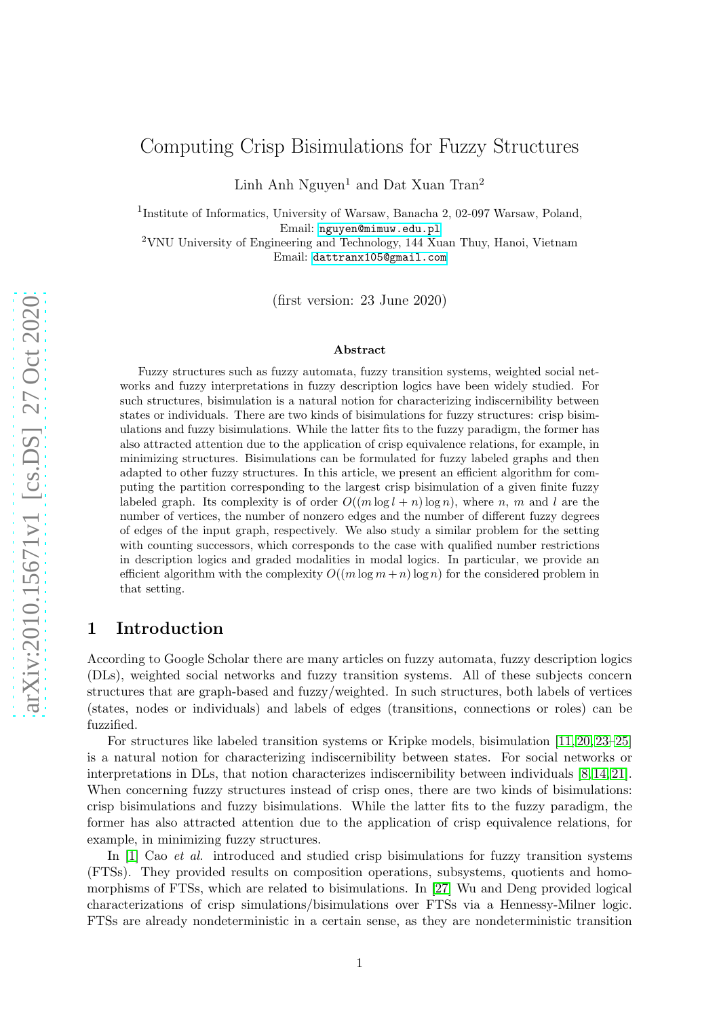# Computing Crisp Bisimulations for Fuzzy Structures

Linh Anh Nguyen<sup>1</sup> and Dat Xuan Tran<sup>2</sup>

<sup>1</sup>Institute of Informatics, University of Warsaw, Banacha 2, 02-097 Warsaw, Poland, Email: <nguyen@mimuw.edu.pl>

<sup>2</sup>VNU University of Engineering and Technology, 144 Xuan Thuy, Hanoi, Vietnam Email: <dattranx105@gmail.com>

(first version: 23 June 2020)

#### Abstract

Fuzzy structures such as fuzzy automata, fuzzy transition systems, weighted social networks and fuzzy interpretations in fuzzy description logics have been widely studied. For such structures, bisimulation is a natural notion for characterizing indiscernibility between states or individuals. There are two kinds of bisimulations for fuzzy structures: crisp bisimulations and fuzzy bisimulations. While the latter fits to the fuzzy paradigm, the former has also attracted attention due to the application of crisp equivalence relations, for example, in minimizing structures. Bisimulations can be formulated for fuzzy labeled graphs and then adapted to other fuzzy structures. In this article, we present an efficient algorithm for computing the partition corresponding to the largest crisp bisimulation of a given finite fuzzy labeled graph. Its complexity is of order  $O((m \log l + n) \log n)$ , where n, m and l are the number of vertices, the number of nonzero edges and the number of different fuzzy degrees of edges of the input graph, respectively. We also study a similar problem for the setting with counting successors, which corresponds to the case with qualified number restrictions in description logics and graded modalities in modal logics. In particular, we provide an efficient algorithm with the complexity  $O((m \log m + n) \log n)$  for the considered problem in that setting.

# 1 Introduction

According to Google Scholar there are many articles on fuzzy automata, fuzzy description logics (DLs), weighted social networks and fuzzy transition systems. All of these subjects concern structures that are graph-based and fuzzy/weighted. In such structures, both labels of vertices (states, nodes or individuals) and labels of edges (transitions, connections or roles) can be fuzzified.

For structures like labeled transition systems or Kripke models, bisimulation [\[11,](#page-18-0) [20,](#page-19-0) [23](#page-19-1)[–25\]](#page-19-2) is a natural notion for characterizing indiscernibility between states. For social networks or interpretations in DLs, that notion characterizes indiscernibility between individuals [\[8,](#page-18-1) [14,](#page-18-2) [21\]](#page-19-3). When concerning fuzzy structures instead of crisp ones, there are two kinds of bisimulations: crisp bisimulations and fuzzy bisimulations. While the latter fits to the fuzzy paradigm, the former has also attracted attention due to the application of crisp equivalence relations, for example, in minimizing fuzzy structures.

In [\[1\]](#page-18-3) Cao *et al.* introduced and studied crisp bisimulations for fuzzy transition systems (FTSs). They provided results on composition operations, subsystems, quotients and homomorphisms of FTSs, which are related to bisimulations. In [27] Wu and Deng provided logical characterizations of crisp simulations/bisimulations over FTSs via a Hennessy-Milner logic. FTSs are already nondeterministic in a certain sense, as they are nondeterministic transition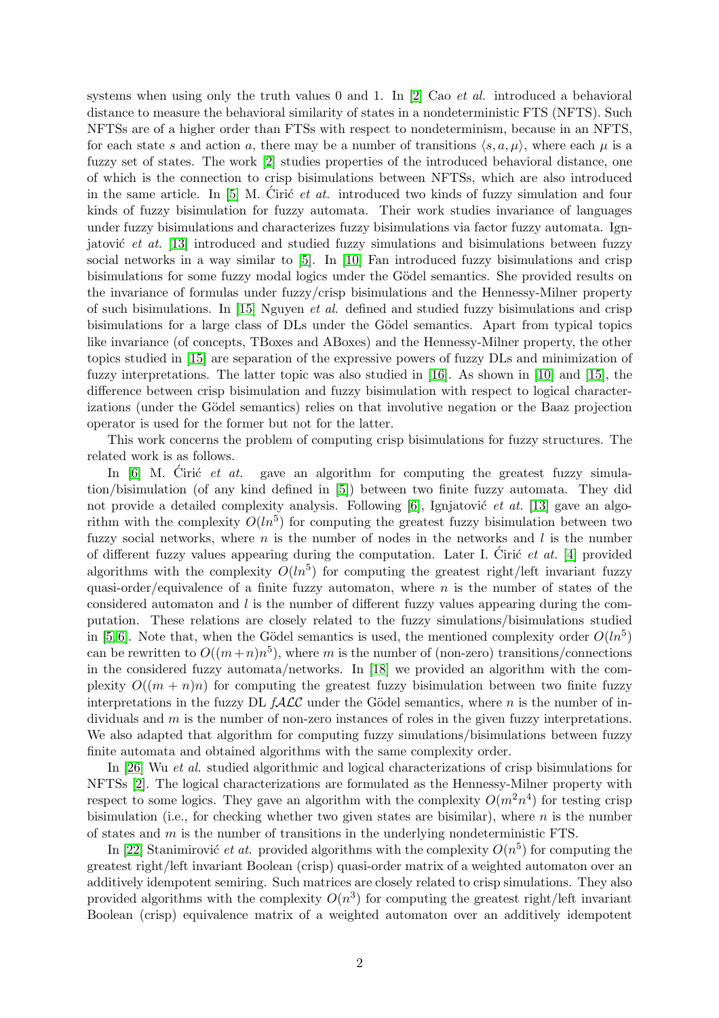systems when using only the truth values 0 and 1. In  $[2]$  Cao *et al.* introduced a behavioral distance to measure the behavioral similarity of states in a nondeterministic FTS (NFTS). Such NFTSs are of a higher order than FTSs with respect to nondeterminism, because in an NFTS, for each state s and action a, there may be a number of transitions  $\langle s, a, \mu \rangle$ , where each  $\mu$  is a fuzzy set of states. The work [\[2\]](#page-18-4) studies properties of the introduced behavioral distance, one of which is the connection to crisp bisimulations between NFTSs, which are also introduced in the same article. In  $[5]$  M. Ciric *et at.* introduced two kinds of fuzzy simulation and four kinds of fuzzy bisimulation for fuzzy automata. Their work studies invariance of languages under fuzzy bisimulations and characterizes fuzzy bisimulations via factor fuzzy automata. Ignjatović *et at.* [\[13\]](#page-18-6) introduced and studied fuzzy simulations and bisimulations between fuzzy social networks in a way similar to [\[5\]](#page-18-5). In [\[10\]](#page-18-7) Fan introduced fuzzy bisimulations and crisp bisimulations for some fuzzy modal logics under the Gödel semantics. She provided results on the invariance of formulas under fuzzy/crisp bisimulations and the Hennessy-Milner property of such bisimulations. In [\[15\]](#page-19-4) Nguyen et al. defined and studied fuzzy bisimulations and crisp bisimulations for a large class of DLs under the Gödel semantics. Apart from typical topics like invariance (of concepts, TBoxes and ABoxes) and the Hennessy-Milner property, the other topics studied in [\[15\]](#page-19-4) are separation of the expressive powers of fuzzy DLs and minimization of fuzzy interpretations. The latter topic was also studied in [\[16\]](#page-19-5). As shown in [\[10\]](#page-18-7) and [\[15\]](#page-19-4), the difference between crisp bisimulation and fuzzy bisimulation with respect to logical characterizations (under the Gödel semantics) relies on that involutive negation or the Baaz projection operator is used for the former but not for the latter.

This work concerns the problem of computing crisp bisimulations for fuzzy structures. The related work is as follows.

In [\[6\]](#page-18-8) M. Ciric *et at.* gave an algorithm for computing the greatest fuzzy simulation/bisimulation (of any kind defined in [\[5\]](#page-18-5)) between two finite fuzzy automata. They did not provide a detailed complexity analysis. Following  $[6]$ , Ignjatović *et at.* [\[13\]](#page-18-6) gave an algorithm with the complexity  $O(ln^5)$  for computing the greatest fuzzy bisimulation between two fuzzy social networks, where n is the number of nodes in the networks and  $l$  is the number of different fuzzy values appearing during the computation. Later I. Ciric  $et \ at \ 1$  provided algorithms with the complexity  $O(ln^5)$  for computing the greatest right/left invariant fuzzy quasi-order/equivalence of a finite fuzzy automaton, where  $n$  is the number of states of the considered automaton and  $l$  is the number of different fuzzy values appearing during the computation. These relations are closely related to the fuzzy simulations/bisimulations studied in [\[5,](#page-18-5)6]. Note that, when the Gödel semantics is used, the mentioned complexity order  $O(ln^5)$ can be rewritten to  $O((m+n)n^5)$ , where m is the number of (non-zero) transitions/connections in the considered fuzzy automata/networks. In [\[18\]](#page-19-6) we provided an algorithm with the complexity  $O((m + n)n)$  for computing the greatest fuzzy bisimulation between two finite fuzzy interpretations in the fuzzy DL  $f\mathcal{ALC}$  under the Gödel semantics, where n is the number of individuals and  $m$  is the number of non-zero instances of roles in the given fuzzy interpretations. We also adapted that algorithm for computing fuzzy simulations/bisimulations between fuzzy finite automata and obtained algorithms with the same complexity order.

In [26] Wu et al. studied algorithmic and logical characterizations of crisp bisimulations for NFTSs [\[2\]](#page-18-4). The logical characterizations are formulated as the Hennessy-Milner property with respect to some logics. They gave an algorithm with the complexity  $O(m^2n^4)$  for testing crisp bisimulation (i.e., for checking whether two given states are bisimilar), where  $n$  is the number of states and m is the number of transitions in the underlying nondeterministic FTS.

In [\[22\]](#page-19-7) Stanimirović *et at.* provided algorithms with the complexity  $O(n^5)$  for computing the greatest right/left invariant Boolean (crisp) quasi-order matrix of a weighted automaton over an additively idempotent semiring. Such matrices are closely related to crisp simulations. They also provided algorithms with the complexity  $O(n^3)$  for computing the greatest right/left invariant Boolean (crisp) equivalence matrix of a weighted automaton over an additively idempotent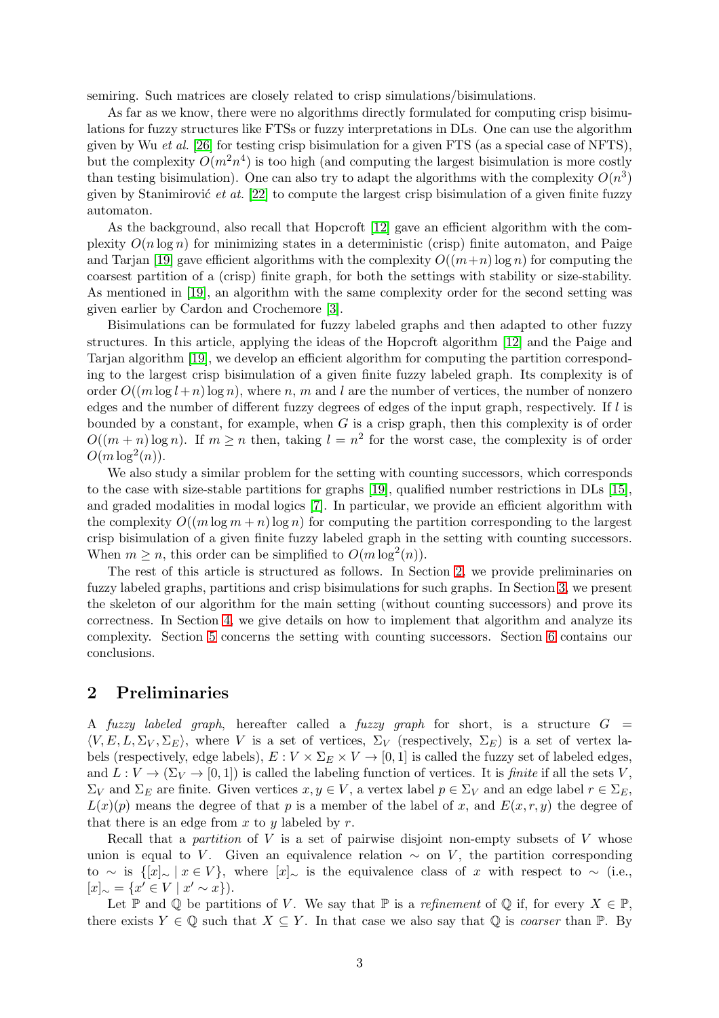semiring. Such matrices are closely related to crisp simulations/bisimulations.

As far as we know, there were no algorithms directly formulated for computing crisp bisimulations for fuzzy structures like FTSs or fuzzy interpretations in DLs. One can use the algorithm given by Wu et al. [26] for testing crisp bisimulation for a given FTS (as a special case of NFTS), but the complexity  $O(m^2n^4)$  is too high (and computing the largest bisimulation is more costly than testing bisimulation). One can also try to adapt the algorithms with the complexity  $O(n^3)$ given by Stanimirović et at.  $[22]$  to compute the largest crisp bisimulation of a given finite fuzzy automaton.

As the background, also recall that Hopcroft [\[12\]](#page-18-10) gave an efficient algorithm with the complexity  $O(n \log n)$  for minimizing states in a deterministic (crisp) finite automaton, and Paige and Tarjan [\[19\]](#page-19-8) gave efficient algorithms with the complexity  $O((m+n) \log n)$  for computing the coarsest partition of a (crisp) finite graph, for both the settings with stability or size-stability. As mentioned in [\[19\]](#page-19-8), an algorithm with the same complexity order for the second setting was given earlier by Cardon and Crochemore [3].

Bisimulations can be formulated for fuzzy labeled graphs and then adapted to other fuzzy structures. In this article, applying the ideas of the Hopcroft algorithm [\[12\]](#page-18-10) and the Paige and Tarjan algorithm [\[19\]](#page-19-8), we develop an efficient algorithm for computing the partition corresponding to the largest crisp bisimulation of a given finite fuzzy labeled graph. Its complexity is of order  $O((m \log l+n) \log n)$ , where n, m and l are the number of vertices, the number of nonzero edges and the number of different fuzzy degrees of edges of the input graph, respectively. If l is bounded by a constant, for example, when  $G$  is a crisp graph, then this complexity is of order  $O((m+n)\log n)$ . If  $m\geq n$  then, taking  $l=n^2$  for the worst case, the complexity is of order  $O(m \log^2(n)).$ 

We also study a similar problem for the setting with counting successors, which corresponds to the case with size-stable partitions for graphs [\[19\]](#page-19-8), qualified number restrictions in DLs [\[15\]](#page-19-4), and graded modalities in modal logics [7]. In particular, we provide an efficient algorithm with the complexity  $O((m \log m + n) \log n)$  for computing the partition corresponding to the largest crisp bisimulation of a given finite fuzzy labeled graph in the setting with counting successors. When  $m \ge n$ , this order can be simplified to  $O(m \log^2(n))$ .

The rest of this article is structured as follows. In Section [2,](#page-2-0) we provide preliminaries on fuzzy labeled graphs, partitions and crisp bisimulations for such graphs. In Section [3,](#page-3-0) we present the skeleton of our algorithm for the main setting (without counting successors) and prove its correctness. In Section [4,](#page-6-0) we give details on how to implement that algorithm and analyze its complexity. Section [5](#page-14-0) concerns the setting with counting successors. Section [6](#page-17-0) contains our conclusions.

### <span id="page-2-0"></span>2 Preliminaries

A fuzzy labeled graph, hereafter called a fuzzy graph for short, is a structure  $G =$  $\langle V, E, L, \Sigma_V, \Sigma_E \rangle$ , where V is a set of vertices,  $\Sigma_V$  (respectively,  $\Sigma_E$ ) is a set of vertex labels (respectively, edge labels),  $E: V \times \Sigma_E \times V \to [0, 1]$  is called the fuzzy set of labeled edges, and  $L: V \to (\Sigma_V \to [0, 1])$  is called the labeling function of vertices. It is *finite* if all the sets V,  $\Sigma_V$  and  $\Sigma_E$  are finite. Given vertices  $x, y \in V$ , a vertex label  $p \in \Sigma_V$  and an edge label  $r \in \Sigma_E$ ,  $L(x)(p)$  means the degree of that p is a member of the label of x, and  $E(x, r, y)$  the degree of that there is an edge from  $x$  to  $y$  labeled by  $r$ .

Recall that a *partition* of  $V$  is a set of pairwise disjoint non-empty subsets of  $V$  whose union is equal to V. Given an equivalence relation  $\sim$  on V, the partition corresponding to ∼ is  $\{[x]_{\sim} | x \in V\}$ , where  $[x]_{\sim}$  is the equivalence class of x with respect to ~ (i.e.,  $[x]_{\sim} = \{x' \in V \mid x' \sim x\}.$ 

Let P and Q be partitions of V. We say that P is a refinement of Q if, for every  $X \in \mathbb{P}$ , there exists  $Y \in \mathbb{Q}$  such that  $X \subseteq Y$ . In that case we also say that  $\mathbb{Q}$  is *coarser* than  $\mathbb{P}$ . By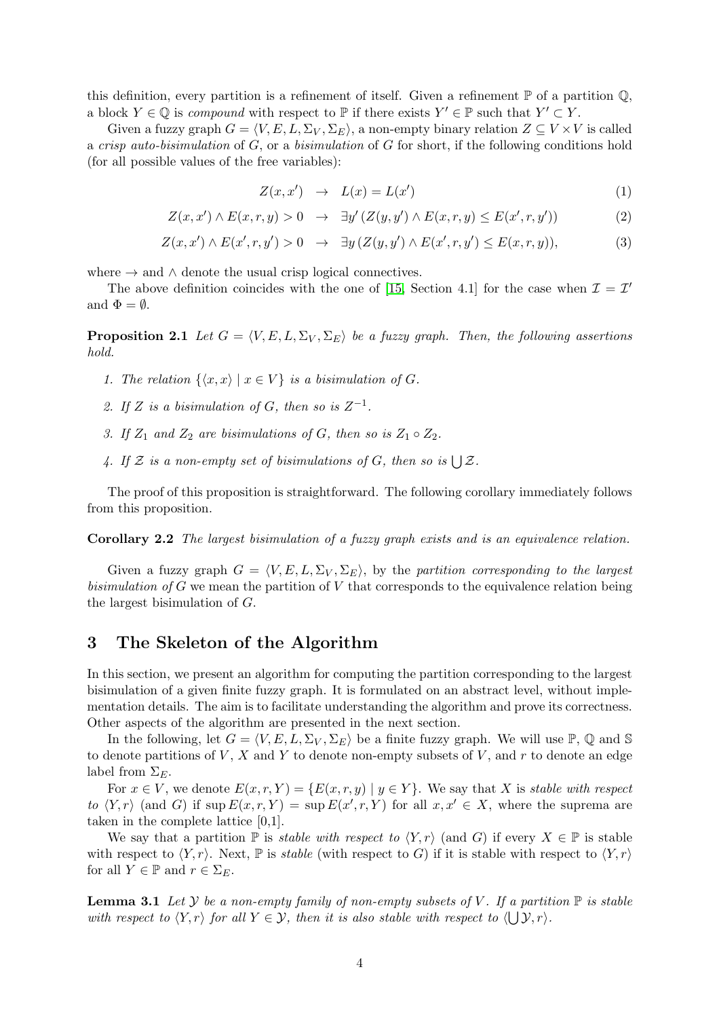this definition, every partition is a refinement of itself. Given a refinement  $\mathbb P$  of a partition  $\mathbb Q$ , a block  $Y \in \mathbb{Q}$  is compound with respect to  $\mathbb{P}$  if there exists  $Y' \in \mathbb{P}$  such that  $Y' \subset Y$ .

Given a fuzzy graph  $G = \langle V, E, L, \Sigma_V, \Sigma_E \rangle$ , a non-empty binary relation  $Z \subseteq V \times V$  is called a crisp auto-bisimulation of  $G$ , or a bisimulation of  $G$  for short, if the following conditions hold (for all possible values of the free variables):

<span id="page-3-1"></span>
$$
Z(x, x') \rightarrow L(x) = L(x')
$$
 (1)

$$
Z(x, x') \wedge E(x, r, y) > 0 \quad \to \quad \exists y' \left( Z(y, y') \wedge E(x, r, y) \le E(x', r, y') \right) \tag{2}
$$

$$
Z(x, x') \wedge E(x', r, y') > 0 \quad \to \quad \exists y \left( Z(y, y') \wedge E(x', r, y') \le E(x, r, y) \right), \tag{3}
$$

where  $\rightarrow$  and  $\land$  denote the usual crisp logical connectives.

<span id="page-3-4"></span>The above definition coincides with the one of [\[15,](#page-19-4) Section 4.1] for the case when  $\mathcal{I} = \mathcal{I}'$ and  $\Phi = \emptyset$ .

**Proposition 2.1** Let  $G = \langle V, E, L, \Sigma_V, \Sigma_E \rangle$  be a fuzzy graph. Then, the following assertions hold.

- 1. The relation  $\{x, x\} | x \in V\}$  is a bisimulation of G.
- 2. If Z is a bisimulation of G, then so is  $Z^{-1}$ .
- 3. If  $Z_1$  and  $Z_2$  are bisimulations of G, then so is  $Z_1 \circ Z_2$ .
- 4. If Z is a non-empty set of bisimulations of G, then so is  $\bigcup \mathcal{Z}$ .

<span id="page-3-3"></span>The proof of this proposition is straightforward. The following corollary immediately follows from this proposition.

Corollary 2.2 The largest bisimulation of a fuzzy graph exists and is an equivalence relation.

Given a fuzzy graph  $G = \langle V, E, L, \Sigma_V, \Sigma_E \rangle$ , by the partition corresponding to the largest bisimulation of  $G$  we mean the partition of  $V$  that corresponds to the equivalence relation being the largest bisimulation of G.

# <span id="page-3-0"></span>3 The Skeleton of the Algorithm

In this section, we present an algorithm for computing the partition corresponding to the largest bisimulation of a given finite fuzzy graph. It is formulated on an abstract level, without implementation details. The aim is to facilitate understanding the algorithm and prove its correctness. Other aspects of the algorithm are presented in the next section.

In the following, let  $G = \langle V, E, L, \Sigma_V, \Sigma_E \rangle$  be a finite fuzzy graph. We will use P, Q and S to denote partitions of V, X and Y to denote non-empty subsets of V, and r to denote an edge label from  $\Sigma_E$ .

For  $x \in V$ , we denote  $E(x, r, Y) = \{E(x, r, y) \mid y \in Y\}$ . We say that X is stable with respect to  $\langle Y, r \rangle$  (and G) if  $\sup E(x, r, Y) = \sup E(x', r, Y)$  for all  $x, x' \in X$ , where the suprema are taken in the complete lattice [0,1].

We say that a partition  $\mathbb P$  is stable with respect to  $\langle Y, r \rangle$  (and G) if every  $X \in \mathbb P$  is stable with respect to  $\langle Y, r \rangle$ . Next, P is stable (with respect to G) if it is stable with respect to  $\langle Y, r \rangle$ for all  $Y \in \mathbb{P}$  and  $r \in \Sigma_E$ .

<span id="page-3-2"></span>**Lemma 3.1** Let Y be a non-empty family of non-empty subsets of V. If a partition  $\mathbb{P}$  is stable with respect to  $\langle Y, r \rangle$  for all  $Y \in \mathcal{Y}$ , then it is also stable with respect to  $\langle \bigcup \mathcal{Y}, r \rangle$ .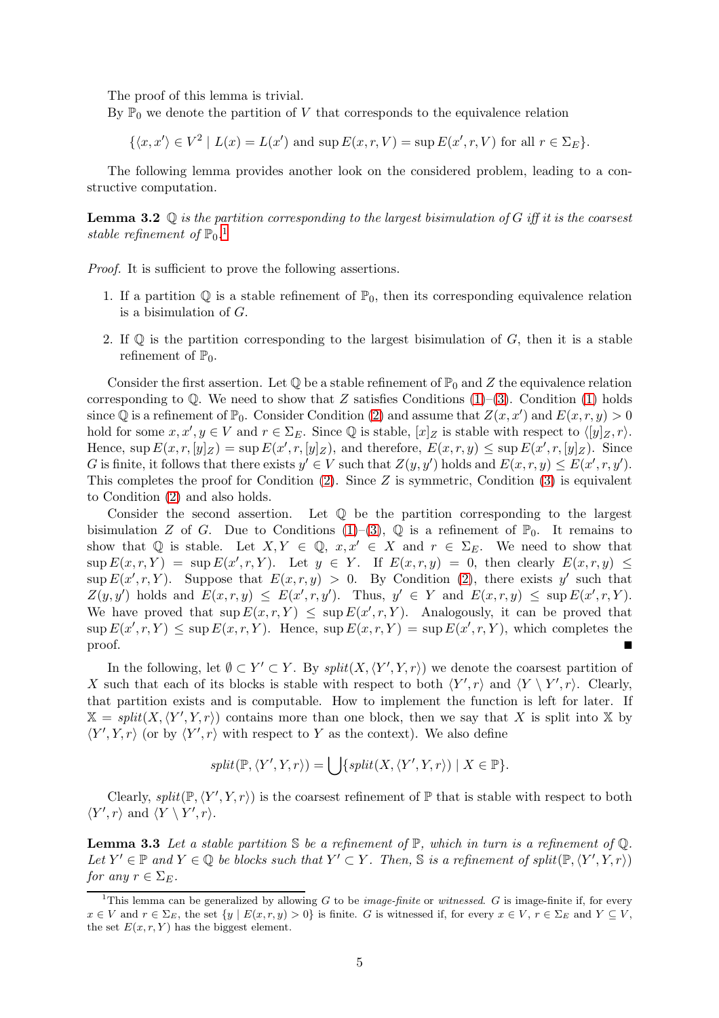The proof of this lemma is trivial.

By  $\mathbb{P}_0$  we denote the partition of V that corresponds to the equivalence relation

 $\{\langle x, x' \rangle \in V^2 \mid L(x) = L(x') \text{ and } \sup E(x, r, V) = \sup E(x', r, V) \text{ for all } r \in \Sigma_E \}.$ 

<span id="page-4-1"></span>The following lemma provides another look on the considered problem, leading to a constructive computation.

**Lemma 3.2**  $\mathbb Q$  is the partition corresponding to the largest bisimulation of G iff it is the coarsest stable refinement of  $\mathbb{P}_0$ .<sup>[1](#page-4-0)</sup>

Proof. It is sufficient to prove the following assertions.

- 1. If a partition  $\mathbb Q$  is a stable refinement of  $\mathbb P_0$ , then its corresponding equivalence relation is a bisimulation of G.
- 2. If  $\mathbb{O}$  is the partition corresponding to the largest bisimulation of G, then it is a stable refinement of  $\mathbb{P}_0$ .

Consider the first assertion. Let  $\mathbb Q$  be a stable refinement of  $\mathbb P_0$  and Z the equivalence relation corresponding to  $\mathbb{Q}$ . We need to show that Z satisfies Conditions [\(1\)](#page-3-1)–[\(3\)](#page-3-1). Condition (1) holds since Q is a refinement of  $\mathbb{P}_0$ . Consider Condition [\(2\)](#page-3-1) and assume that  $Z(x, x')$  and  $E(x, r, y) > 0$ hold for some  $x, x', y \in V$  and  $r \in \Sigma_E$ . Since  $\mathbb Q$  is stable,  $[x]_Z$  is stable with respect to  $\langle [y]_Z, r \rangle$ . Hence,  $\sup E(x,r,[y]_Z) = \sup E(x',r,[y]_Z)$ , and therefore,  $E(x,r,y) \leq \sup E(x',r,[y]_Z)$ . Since G is finite, it follows that there exists  $y' \in V$  such that  $Z(y, y')$  holds and  $E(x, r, y) \le E(x', r, y')$ . This completes the proof for Condition  $(2)$ . Since Z is symmetric, Condition  $(3)$  is equivalent to Condition [\(2\)](#page-3-1) and also holds.

Consider the second assertion. Let Q be the partition corresponding to the largest bisimulation Z of G. Due to Conditions  $(1)-(3)$  $(1)-(3)$ , Q is a refinement of  $\mathbb{P}_0$ . It remains to show that Q is stable. Let  $X, Y \in \mathbb{Q}$ ,  $x, x' \in X$  and  $r \in \Sigma_E$ . We need to show that  $\sup E(x, r, Y) = \sup E(x', r, Y)$ . Let  $y \in Y$ . If  $E(x, r, y) = 0$ , then clearly  $E(x, r, y) \le$  $\sup E(x', r, Y)$ . Suppose that  $E(x, r, y) > 0$ . By Condition [\(2\)](#page-3-1), there exists y' such that  $Z(y, y')$  holds and  $E(x, r, y) \le E(x', r, y')$ . Thus,  $y' \in Y$  and  $E(x, r, y) \le \sup E(x', r, Y)$ . We have proved that  $\sup E(x, r, Y) \leq \sup E(x', r, Y)$ . Analogously, it can be proved that  $\sup E(x', r, Y) \leq \sup E(x, r, Y)$ . Hence,  $\sup E(x, r, Y) = \sup E(x', r, Y)$ , which completes the proof.

In the following, let  $\emptyset \subset Y' \subset Y$ . By  $split(X, \langle Y', Y, r \rangle)$  we denote the coarsest partition of X such that each of its blocks is stable with respect to both  $\langle Y', r \rangle$  and  $\langle Y \setminus Y', r \rangle$ . Clearly, that partition exists and is computable. How to implement the function is left for later. If  $\mathbb{X} = split(X, \langle Y', Y, r \rangle)$  contains more than one block, then we say that X is split into X by  $\langle Y', Y, r \rangle$  (or by  $\langle Y', r \rangle$  with respect to Y as the context). We also define

$$
split(\mathbb{P}, \langle Y', Y, r \rangle) = \bigcup \{split(X, \langle Y', Y, r \rangle) \mid X \in \mathbb{P} \}.
$$

<span id="page-4-2"></span>Clearly,  $split(\mathbb{P}, \langle Y', Y, r \rangle)$  is the coarsest refinement of  $\mathbb{P}$  that is stable with respect to both  $\langle Y', r \rangle$  and  $\langle Y \setminus Y', r \rangle$ .

**Lemma 3.3** Let a stable partition  $\mathcal{S}$  be a refinement of  $\mathbb{P}$ , which in turn is a refinement of  $\mathbb{Q}$ . Let  $Y' \in \mathbb{P}$  and  $Y \in \mathbb{Q}$  be blocks such that  $Y' \subset Y$ . Then, S is a refinement of split $(\mathbb{P}, \langle Y', Y, r \rangle)$ for any  $r \in \Sigma_E$ .

<span id="page-4-0"></span><sup>&</sup>lt;sup>1</sup>This lemma can be generalized by allowing G to be *image-finite* or *witnessed.* G is image-finite if, for every  $x \in V$  and  $r \in \Sigma_E$ , the set  $\{y \mid E(x, r, y) > 0\}$  is finite. G is witnessed if, for every  $x \in V$ ,  $r \in \Sigma_E$  and  $Y \subseteq V$ , the set  $E(x, r, Y)$  has the biggest element.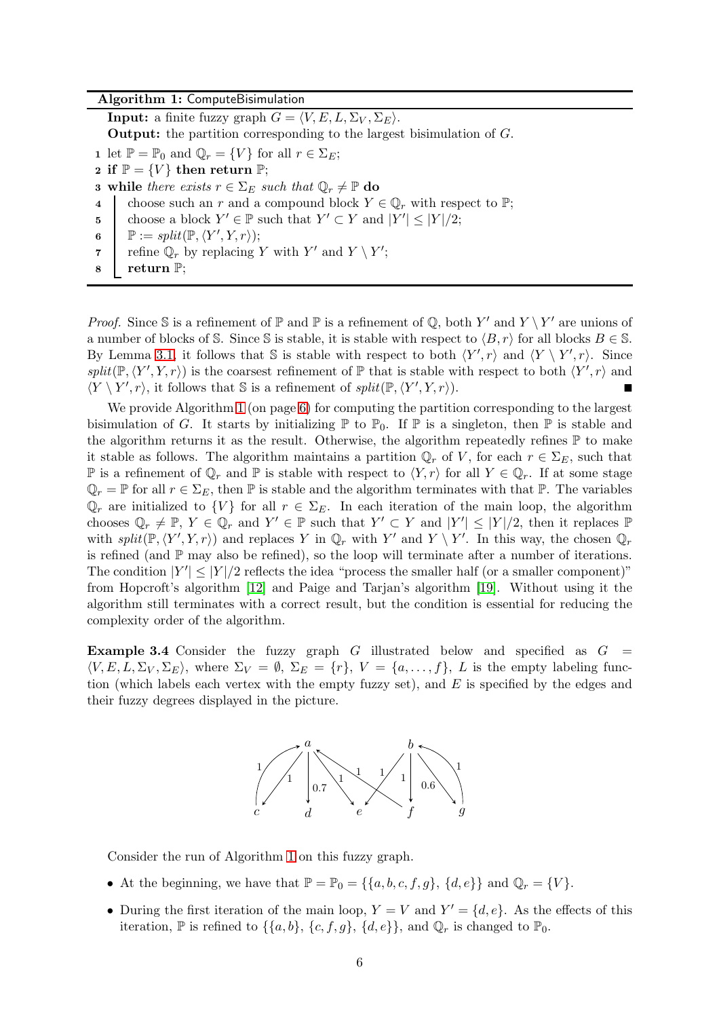#### <span id="page-5-0"></span>Algorithm 1: ComputeBisimulation

**Input:** a finite fuzzy graph  $G = \langle V, E, L, \Sigma_V, \Sigma_E \rangle$ .

Output: the partition corresponding to the largest bisimulation of G.

1 let  $\mathbb{P} = \mathbb{P}_0$  and  $\mathbb{Q}_r = \{V\}$  for all  $r \in \Sigma_E$ ;

- 2 if  $\mathbb{P} = \{V\}$  then return  $\mathbb{P}$ ;
- **3** while there exists  $r \in \Sigma_E$  such that  $\mathbb{Q}_r \neq \mathbb{P}$  do
- 4 choose such an r and a compound block  $Y \in \mathbb{Q}_r$  with respect to  $\mathbb{P};$
- 5 choose a block  $Y' \in \mathbb{P}$  such that  $Y' \subset Y$  and  $|Y'| \leq |Y|/2$ ;
- <span id="page-5-1"></span>6  $\mathbb{P} := split(\mathbb{P}, \langle Y', Y, r \rangle);$
- <span id="page-5-2"></span>7 refine  $\mathbb{Q}_r$  by replacing Y with Y' and  $Y \setminus Y'$ ;
- <sup>8</sup> return P;

*Proof.* Since S is a refinement of  $\mathbb P$  and  $\mathbb P$  is a refinement of  $\mathbb Q$ , both  $Y'$  and  $Y \setminus Y'$  are unions of a number of blocks of S. Since S is stable, it is stable with respect to  $\langle B, r \rangle$  for all blocks  $B \in \mathbb{S}$ . By Lemma [3.1,](#page-3-2) it follows that S is stable with respect to both  $\langle Y', r \rangle$  and  $\langle Y \setminus Y', r \rangle$ . Since  $split(\mathbb{P}, \langle Y', Y, r \rangle)$  is the coarsest refinement of  $\mathbb{P}$  that is stable with respect to both  $\langle Y', r \rangle$  and  $\langle Y \setminus Y', r \rangle$ , it follows that S is a refinement of  $split(\mathbb{P}, \langle Y', Y, r \rangle)$ .

We provide Algorithm [1](#page-5-0) (on page [6\)](#page-5-0) for computing the partition corresponding to the largest bisimulation of G. It starts by initializing  $\mathbb P$  to  $\mathbb P_0$ . If  $\mathbb P$  is a singleton, then  $\mathbb P$  is stable and the algorithm returns it as the result. Otherwise, the algorithm repeatedly refines  $\mathbb P$  to make it stable as follows. The algorithm maintains a partition  $\mathbb{Q}_r$  of V, for each  $r \in \Sigma_E$ , such that P is a refinement of  $\mathbb{Q}_r$  and P is stable with respect to  $\langle Y, r \rangle$  for all  $Y \in \mathbb{Q}_r$ . If at some stage  $\mathbb{Q}_r = \mathbb{P}$  for all  $r \in \Sigma_E$ , then  $\mathbb{P}$  is stable and the algorithm terminates with that  $\mathbb{P}$ . The variables  $\mathbb{Q}_r$  are initialized to  $\{V\}$  for all  $r \in \Sigma_E$ . In each iteration of the main loop, the algorithm chooses  $\mathbb{Q}_r \neq \mathbb{P}, Y \in \mathbb{Q}_r$  and  $Y' \in \mathbb{P}$  such that  $Y' \subset Y$  and  $|Y'| \leq |Y|/2$ , then it replaces  $\mathbb{P}$ with  $split(\mathbb{P}, \langle Y', Y, r \rangle)$  and replaces Y in  $\mathbb{Q}_r$  with Y' and Y \ Y'. In this way, the chosen  $\mathbb{Q}_r$ is refined (and  $\mathbb P$  may also be refined), so the loop will terminate after a number of iterations. The condition  $|Y'| \leq |Y|/2$  reflects the idea "process the smaller half (or a smaller component)" from Hopcroft's algorithm [\[12\]](#page-18-10) and Paige and Tarjan's algorithm [\[19\]](#page-19-8). Without using it the algorithm still terminates with a correct result, but the condition is essential for reducing the complexity order of the algorithm.

<span id="page-5-3"></span>**Example 3.4** Consider the fuzzy graph  $G$  illustrated below and specified as  $G =$  $\langle V, E, L, \Sigma_V, \Sigma_E \rangle$ , where  $\Sigma_V = \emptyset$ ,  $\Sigma_E = \{r\}$ ,  $V = \{a, \ldots, f\}$ , L is the empty labeling function (which labels each vertex with the empty fuzzy set), and  $E$  is specified by the edges and their fuzzy degrees displayed in the picture.



Consider the run of Algorithm [1](#page-5-0) on this fuzzy graph.

- At the beginning, we have that  $\mathbb{P} = \mathbb{P}_0 = \{\{a, b, c, f, g\}, \{d, e\}\}\$ and  $\mathbb{Q}_r = \{V\}.$
- During the first iteration of the main loop,  $Y = V$  and  $Y' = \{d, e\}$ . As the effects of this iteration,  $\mathbb P$  is refined to  $\{\{a, b\}, \{c, f, g\}, \{d, e\}\}\$ , and  $\mathbb Q_r$  is changed to  $\mathbb P_0$ .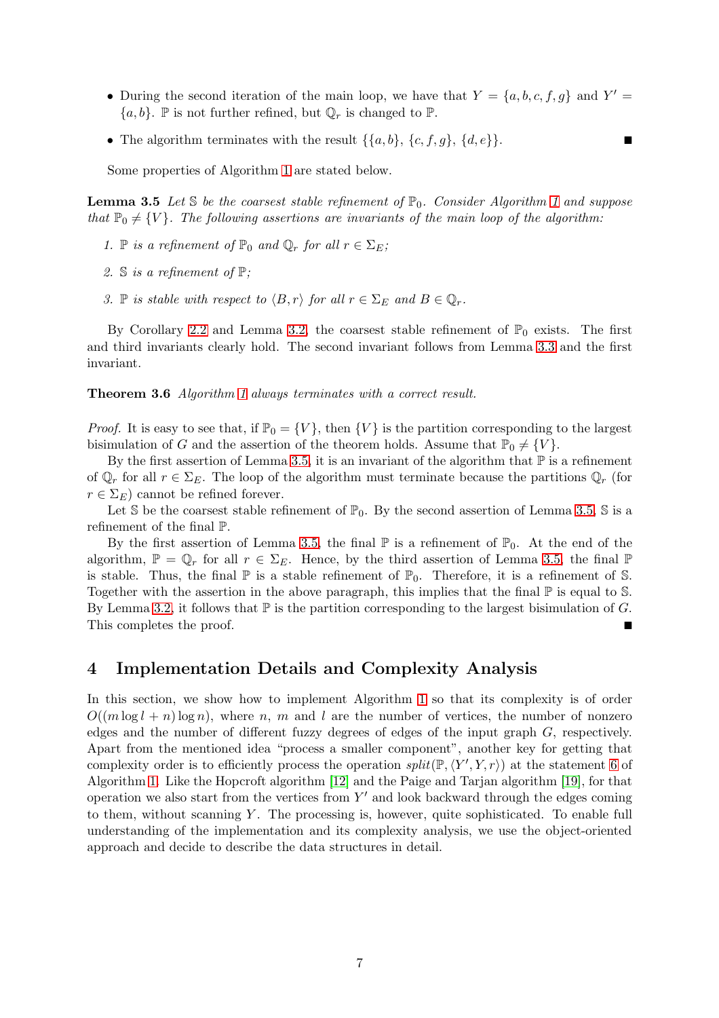- During the second iteration of the main loop, we have that  $Y = \{a, b, c, f, g\}$  and  $Y' =$  $\{a, b\}$ .  $\mathbb P$  is not further refined, but  $\mathbb Q_r$  is changed to  $\mathbb P$ .
- The algorithm terminates with the result  $\{\{a,b\},\{c,f,g\},\{d,e\}\}.$

<span id="page-6-1"></span>Some properties of Algorithm [1](#page-5-0) are stated below.

**Lemma 3.5** Let S be the coarsest stable refinement of  $\mathbb{P}_0$ . Consider Algorithm [1](#page-5-0) and suppose that  $\mathbb{P}_0 \neq \{V\}$ . The following assertions are invariants of the main loop of the algorithm:

- 1. P is a refinement of  $\mathbb{P}_0$  and  $\mathbb{Q}_r$  for all  $r \in \Sigma_E$ ;
- 2. S is a refinement of P;
- 3. P is stable with respect to  $\langle B, r \rangle$  for all  $r \in \Sigma_E$  and  $B \in \mathbb{Q}_r$ .

<span id="page-6-2"></span>By Corollary [2.2](#page-3-3) and Lemma [3.2,](#page-4-1) the coarsest stable refinement of  $\mathbb{P}_0$  exists. The first and third invariants clearly hold. The second invariant follows from Lemma [3.3](#page-4-2) and the first invariant.

Theorem 3.6 Algorithm [1](#page-5-0) always terminates with a correct result.

*Proof.* It is easy to see that, if  $\mathbb{P}_0 = \{V\}$ , then  $\{V\}$  is the partition corresponding to the largest bisimulation of G and the assertion of the theorem holds. Assume that  $\mathbb{P}_0 \neq \{V\}$ .

By the first assertion of Lemma [3.5,](#page-6-1) it is an invariant of the algorithm that  $\mathbb P$  is a refinement of  $\mathbb{Q}_r$  for all  $r \in \Sigma_E$ . The loop of the algorithm must terminate because the partitions  $\mathbb{Q}_r$  (for  $r \in \Sigma_E$ ) cannot be refined forever.

Let S be the coarsest stable refinement of  $\mathbb{P}_0$ . By the second assertion of Lemma [3.5,](#page-6-1) S is a refinement of the final P.

By the first assertion of Lemma [3.5,](#page-6-1) the final  $\mathbb P$  is a refinement of  $\mathbb P_0$ . At the end of the algorithm,  $\mathbb{P} = \mathbb{Q}_r$  for all  $r \in \Sigma_E$ . Hence, by the third assertion of Lemma [3.5,](#page-6-1) the final  $\mathbb{P}$ is stable. Thus, the final  $\mathbb P$  is a stable refinement of  $\mathbb P_0$ . Therefore, it is a refinement of S. Together with the assertion in the above paragraph, this implies that the final  $\mathbb P$  is equal to S. By Lemma [3.2,](#page-4-1) it follows that  $\mathbb P$  is the partition corresponding to the largest bisimulation of G. This completes the proof.

# <span id="page-6-0"></span>4 Implementation Details and Complexity Analysis

In this section, we show how to implement Algorithm [1](#page-5-0) so that its complexity is of order  $O((m \log l + n) \log n)$ , where n, m and l are the number of vertices, the number of nonzero edges and the number of different fuzzy degrees of edges of the input graph G, respectively. Apart from the mentioned idea "process a smaller component", another key for getting that complexity order is to efficiently process the operation  $split(\mathbb{P}, \langle Y', Y, r \rangle)$  at the statement [6](#page-5-1) of Algorithm [1.](#page-5-0) Like the Hopcroft algorithm [\[12\]](#page-18-10) and the Paige and Tarjan algorithm [\[19\]](#page-19-8), for that operation we also start from the vertices from  $Y'$  and look backward through the edges coming to them, without scanning  $Y$ . The processing is, however, quite sophisticated. To enable full understanding of the implementation and its complexity analysis, we use the object-oriented approach and decide to describe the data structures in detail.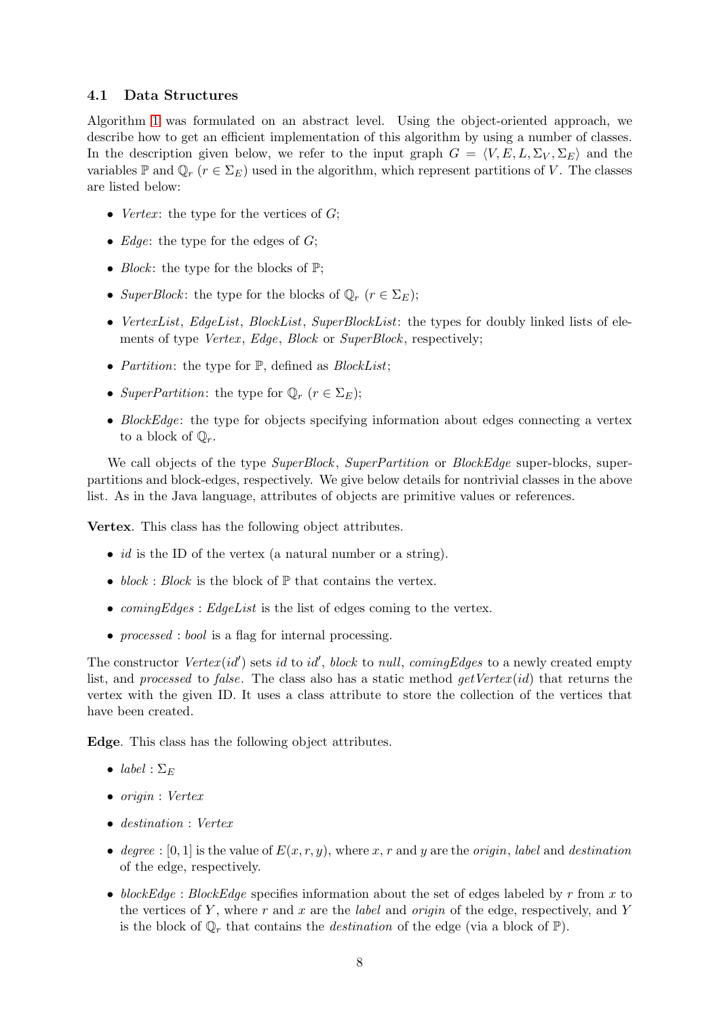#### <span id="page-7-0"></span>4.1 Data Structures

Algorithm [1](#page-5-0) was formulated on an abstract level. Using the object-oriented approach, we describe how to get an efficient implementation of this algorithm by using a number of classes. In the description given below, we refer to the input graph  $G = \langle V, E, L, \Sigma_V, \Sigma_E \rangle$  and the variables  $\mathbb P$  and  $\mathbb Q_r$  ( $r \in \Sigma_E$ ) used in the algorithm, which represent partitions of V. The classes are listed below:

- *Vertex*: the type for the vertices of  $G$ ;
- Edge: the type for the edges of  $G$ ;
- *Block*: the type for the blocks of  $\mathbb{P}$ ;
- SuperBlock: the type for the blocks of  $\mathbb{Q}_r$   $(r \in \Sigma_E);$
- VertexList, EdgeList, BlockList, SuperBlockList: the types for doubly linked lists of elements of type *Vertex, Edge, Block* or *SuperBlock*, respectively;
- *Partition*: the type for  $\mathbb{P}$ , defined as *BlockList*;
- SuperPartition: the type for  $\mathbb{Q}_r$   $(r \in \Sigma_E);$
- BlockEdge: the type for objects specifying information about edges connecting a vertex to a block of  $\mathbb{Q}_r$ .

We call objects of the type SuperBlock, SuperPartition or BlockEdge super-blocks, superpartitions and block-edges, respectively. We give below details for nontrivial classes in the above list. As in the Java language, attributes of objects are primitive values or references.

Vertex. This class has the following object attributes.

- *id* is the ID of the vertex (a natural number or a string).
- block : Block is the block of  $\mathbb P$  that contains the vertex.
- $comingEdges: EdgeList$  is the list of edges coming to the vertex.
- *processed* : *bool* is a flag for internal processing.

The constructor  $Vertex(id')$  sets id to id', block to null, comingEdges to a newly created empty list, and processed to false. The class also has a static method  $qetVertex(id)$  that returns the vertex with the given ID. It uses a class attribute to store the collection of the vertices that have been created.

Edge. This class has the following object attributes.

- label :  $\Sigma_E$
- origin : Vertex
- destination : Vertex
- degree :  $[0,1]$  is the value of  $E(x, r, y)$ , where x, r and y are the *origin*, label and destination of the edge, respectively.
- blockEdge : BlockEdge specifies information about the set of edges labeled by r from x to the vertices of Y, where r and x are the *label* and *origin* of the edge, respectively, and Y is the block of  $\mathbb{Q}_r$  that contains the *destination* of the edge (via a block of  $\mathbb{P}$ ).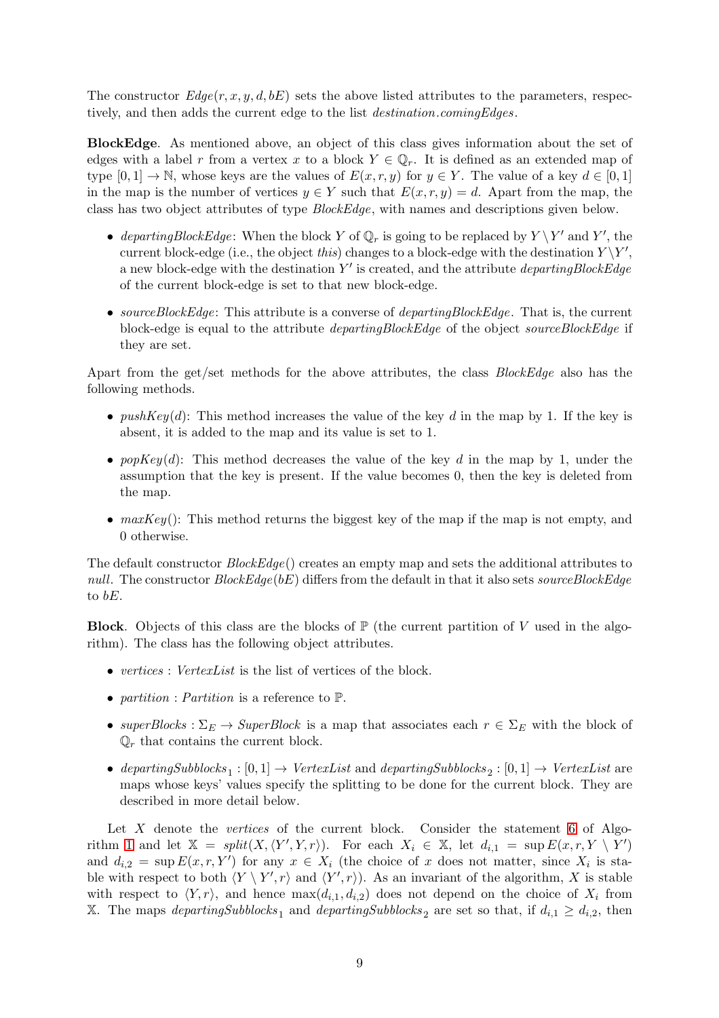The constructor  $Edge(r, x, y, d, bE)$  sets the above listed attributes to the parameters, respectively, and then adds the current edge to the list destination.comingEdges.

BlockEdge. As mentioned above, an object of this class gives information about the set of edges with a label r from a vertex x to a block  $Y \in \mathbb{Q}_r$ . It is defined as an extended map of type  $[0,1] \to \mathbb{N}$ , whose keys are the values of  $E(x, r, y)$  for  $y \in Y$ . The value of a key  $d \in [0,1]$ in the map is the number of vertices  $y \in Y$  such that  $E(x, r, y) = d$ . Apart from the map, the class has two object attributes of type BlockEdge, with names and descriptions given below.

- departingBlockEdge: When the block Y of  $\mathbb{Q}_r$  is going to be replaced by  $Y \setminus Y'$  and Y', the current block-edge (i.e., the object this) changes to a block-edge with the destination  $Y \ Y'$ , a new block-edge with the destination  $Y'$  is created, and the attribute *departingBlockEdge* of the current block-edge is set to that new block-edge.
- sourceBlockEdge: This attribute is a converse of departingBlockEdge. That is, the current block-edge is equal to the attribute *departingBlockEdge* of the object sourceBlockEdge if they are set.

Apart from the get/set methods for the above attributes, the class *BlockEdge* also has the following methods.

- push $Key(d)$ : This method increases the value of the key d in the map by 1. If the key is absent, it is added to the map and its value is set to 1.
- pop $Key(d)$ : This method decreases the value of the key d in the map by 1, under the assumption that the key is present. If the value becomes 0, then the key is deleted from the map.
- $maxKey()$ : This method returns the biggest key of the map if the map is not empty, and 0 otherwise.

The default constructor  $BlockEdge()$  creates an empty map and sets the additional attributes to null. The constructor  $BlockEdge(bE)$  differs from the default in that it also sets sourceBlockEdge to bE.

**Block.** Objects of this class are the blocks of  $\mathbb{P}$  (the current partition of V used in the algorithm). The class has the following object attributes.

- vertices : VertexList is the list of vertices of the block.
- partition : Partition is a reference to  $\mathbb{P}$ .
- superBlocks :  $\Sigma_E \to SuperBlock$  is a map that associates each  $r \in \Sigma_E$  with the block of  $\mathbb{Q}_r$  that contains the current block.
- departingSubblocks<sub>1</sub>: [0, 1]  $\rightarrow$  VertexList and departingSubblocks<sub>2</sub>: [0, 1]  $\rightarrow$  VertexList are maps whose keys' values specify the splitting to be done for the current block. They are described in more detail below.

Let  $X$  denote the *vertices* of the current block. Consider the statement [6](#page-5-1) of Algo-rithm [1](#page-5-0) and let  $\mathbb{X} = split(X, \langle Y', Y, r \rangle)$ . For each  $X_i \in \mathbb{X}$ , let  $d_{i,1} = \sup E(x, r, Y \setminus Y')$ and  $d_{i,2} = \sup E(x, r, Y')$  for any  $x \in X_i$  (the choice of x does not matter, since  $X_i$  is stable with respect to both  $\langle Y \setminus Y', r \rangle$  and  $\langle Y', r \rangle$ . As an invariant of the algorithm, X is stable with respect to  $\langle Y, r \rangle$ , and hence  $\max(d_{i,1}, d_{i,2})$  does not depend on the choice of  $X_i$  from X. The maps departingSubblocks<sub>1</sub> and departingSubblocks<sub>2</sub> are set so that, if  $d_{i,1} \geq d_{i,2}$ , then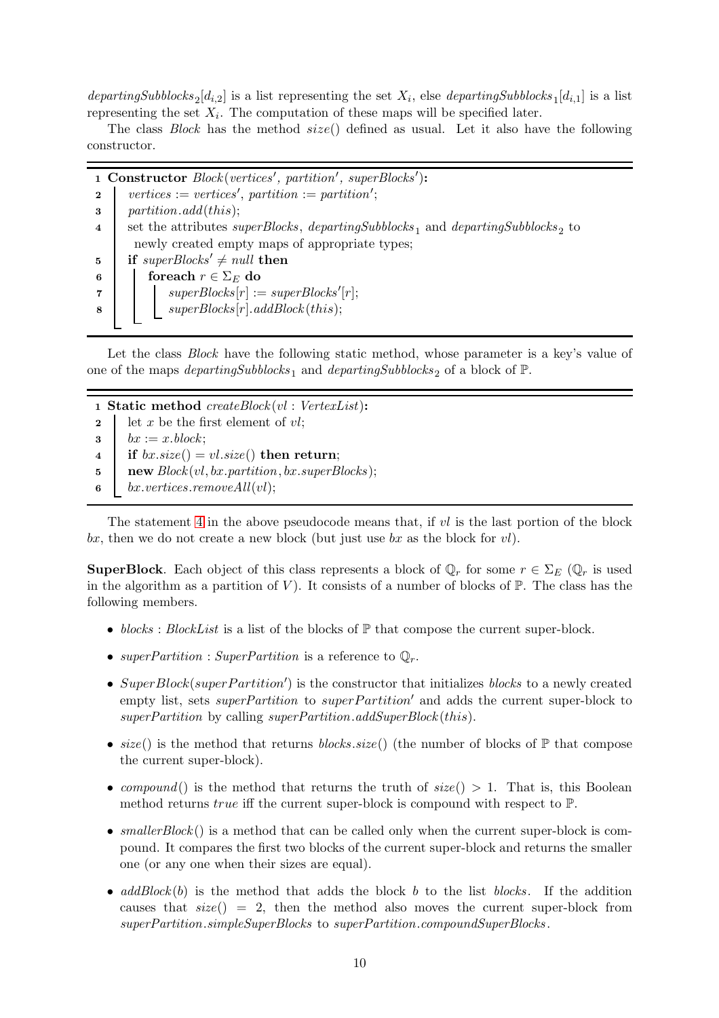departingSubblocks<sub>2</sub>[d<sub>i,2</sub>] is a list representing the set  $X_i$ , else departingSubblocks<sub>1</sub>[d<sub>i,1</sub>] is a list representing the set  $X_i$ . The computation of these maps will be specified later.

The class Block has the method  $size()$  defined as usual. Let it also have the following constructor.

1 Constructor Block(vertices', partition', superBlocks'): 2 | vertices := vertices', partition := partition'; 3 partition.add(this); 4 set the attributes superBlocks, departingSubblocks<sub>1</sub> and departingSubblocks<sub>2</sub> to newly created empty maps of appropriate types; 5 if superBlocks'  $\neq$  null then 6 for each  $r \in \Sigma_E$  do  $\begin{array}{ccc} \textbf{7} & | & | & superBlocks[r] := superBlocks'[r]; \end{array}$  $\begin{array}{c|c|c|c} \hline \textbf{8} & \textbf{array} \end{array} Blocks[r].addBlock(this);$ 

Let the class *Block* have the following static method, whose parameter is a key's value of one of the maps *departingSubblocks*<sup>1</sup> and *departingSubblocks*<sup>2</sup> of a block of  $\mathbb{P}$ .

1 Static method createBlock (vl : VertexList):

- 2 let x be the first element of  $vl$ ;
- $\mathbf{3} \quad bx := x \cdot block;$
- <span id="page-9-0"></span>4 if  $bx.size() = vl.size()$  then return;
- 5 | new  $Block(vl, bx.partition, bx.super Blocks);$
- 6 bx.vertices.remove $All(vl);$

The statement [4](#page-9-0) in the above pseudocode means that, if  $vl$  is the last portion of the block bx, then we do not create a new block (but just use bx as the block for  $vl$ ).

**SuperBlock**. Each object of this class represents a block of  $\mathbb{Q}_r$  for some  $r \in \Sigma_E$  ( $\mathbb{Q}_r$  is used in the algorithm as a partition of V). It consists of a number of blocks of  $\mathbb{P}$ . The class has the following members.

- blocks : BlockList is a list of the blocks of  $\mathbb P$  that compose the current super-block.
- superPartition : SuperPartition is a reference to  $\mathbb{Q}_r$ .
- SuperBlock(superPartition') is the constructor that initializes blocks to a newly created empty list, sets *superPartition* to *superPartition'* and adds the current super-block to superPartition by calling superPartition.addSuperBlock(this).
- size() is the method that returns blocks.size() (the number of blocks of  $\mathbb{P}$  that compose the current super-block).
- compound() is the method that returns the truth of  $size() > 1$ . That is, this Boolean method returns *true* iff the current super-block is compound with respect to  $\mathbb{P}$ .
- smallerBlock() is a method that can be called only when the current super-block is compound. It compares the first two blocks of the current super-block and returns the smaller one (or any one when their sizes are equal).
- $addBlock(b)$  is the method that adds the block b to the list blocks. If the addition causes that  $size() = 2$ , then the method also moves the current super-block from superPartition.simpleSuperBlocks to superPartition.compoundSuperBlocks .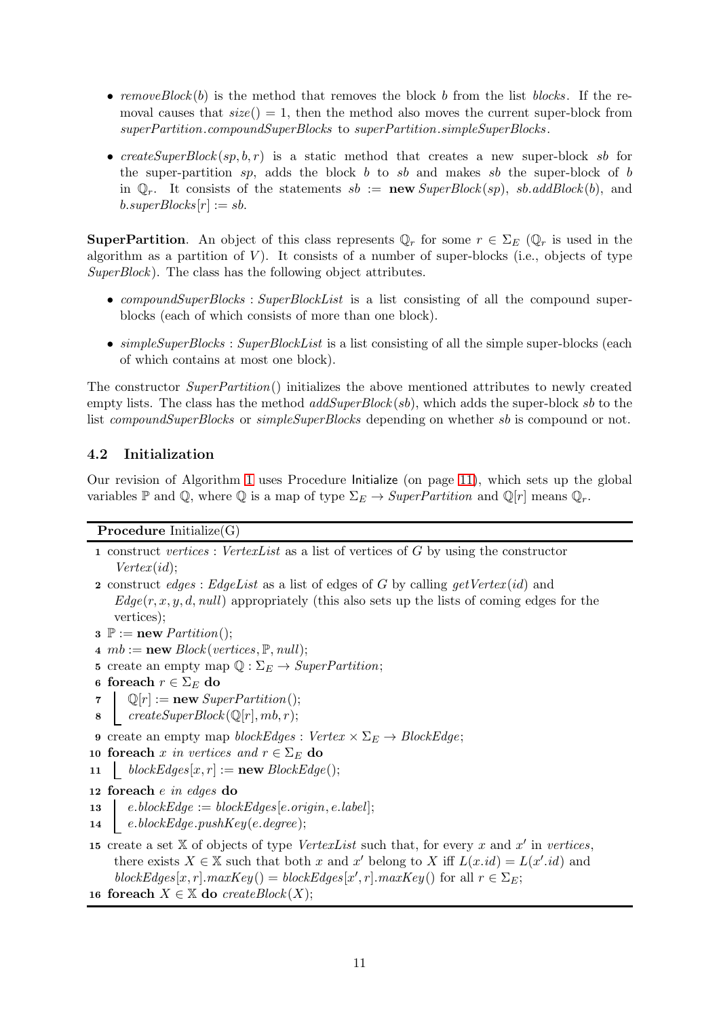- removeBlock(b) is the method that removes the block b from the list blocks. If the removal causes that  $size() = 1$ , then the method also moves the current super-block from superPartition.compoundSuperBlocks to superPartition.simpleSuperBlocks .
- createSuperBlock $(sp, b, r)$  is a static method that creates a new super-block sb for the super-partition sp, adds the block b to sb and makes sb the super-block of b in  $\mathbb{Q}_r$ . It consists of the statements  $sb := \mathbf{new} \, SuperBlock(sp), \, sb. \, addBlock(b), \, and$  $b.\text{superBlocks}[r] := sb.$

**SuperPartition.** An object of this class represents  $\mathbb{Q}_r$  for some  $r \in \Sigma_E$  ( $\mathbb{Q}_r$  is used in the algorithm as a partition of  $V$ ). It consists of a number of super-blocks (i.e., objects of type  $SuperBlock$ ). The class has the following object attributes.

- *compoundSuperBlocks* : *SuperBlockList* is a list consisting of all the compound superblocks (each of which consists of more than one block).
- $simpleSuperBlocks : SuperBlockList$  is a list consisting of all the simple super-blocks (each of which contains at most one block).

The constructor SuperPartition() initializes the above mentioned attributes to newly created empty lists. The class has the method  $addSuperBlock(sb)$ , which adds the super-block sb to the list compoundSuperBlocks or simpleSuperBlocks depending on whether sb is compound or not.

# <span id="page-10-11"></span>4.2 Initialization

Our revision of Algorithm [1](#page-5-0) uses Procedure Initialize (on page [11\)](#page-10-0), which sets up the global variables P and Q, where Q is a map of type  $\Sigma_E \to SuperPartition$  and  $\mathbb{Q}[r]$  means  $\mathbb{Q}_r$ .

### <span id="page-10-0"></span>Procedure Initialize(G)

- <span id="page-10-1"></span>1 construct vertices : VertexList as a list of vertices of G by using the constructor  $Vertex(id);$
- <span id="page-10-2"></span>2 construct edges : EdgeList as a list of edges of G by calling getVertex (id) and  $Edge(r, x, y, d, null)$  appropriately (this also sets up the lists of coming edges for the vertices);
- <span id="page-10-3"></span> $\mathbf{3} \ \mathbb{P} := \textbf{new} \; \textit{Partition}();$
- 4  $mb := new Block(verties, \mathbb{P}, null);$
- 5 create an empty map  $\mathbb{Q}: \Sigma_E \to SuperPartition;$
- 6 foreach  $r \in \Sigma_E$  do
- 7  $\mathbb{Q}[r] := \textbf{new} \; SuperPartition();$
- 8  $createSuperBlock(\mathbb{Q}[r], mb, r);$
- <span id="page-10-4"></span>9 create an empty map blockEdges : Vertex  $\times \Sigma_E \rightarrow BlockEdge;$
- <span id="page-10-5"></span>10 foreach x in vertices and  $r \in \Sigma_E$  do
- <span id="page-10-6"></span>11  $blockEdges[x, r] := new BlockEdge();$
- <span id="page-10-7"></span>12 foreach e in edges do
- 13 e.blockEdge := blockEdges[e.origin, e.label];
- <span id="page-10-8"></span>14 e.blockEdge.pushKey(e.degree);
- <span id="page-10-9"></span>15 create a set X of objects of type VertexList such that, for every x and  $x'$  in vertices, there exists  $X \in \mathbb{X}$  such that both x and x' belong to X iff  $L(x.id) = L(x'.id)$  and  $blockEdges[x, r].maxKey() = blockEdges[x', r].maxKey()$  for all  $r \in \Sigma_E$ ;
- <span id="page-10-10"></span>16 foreach  $X \in \mathbb{X}$  do createBlock $(X)$ ;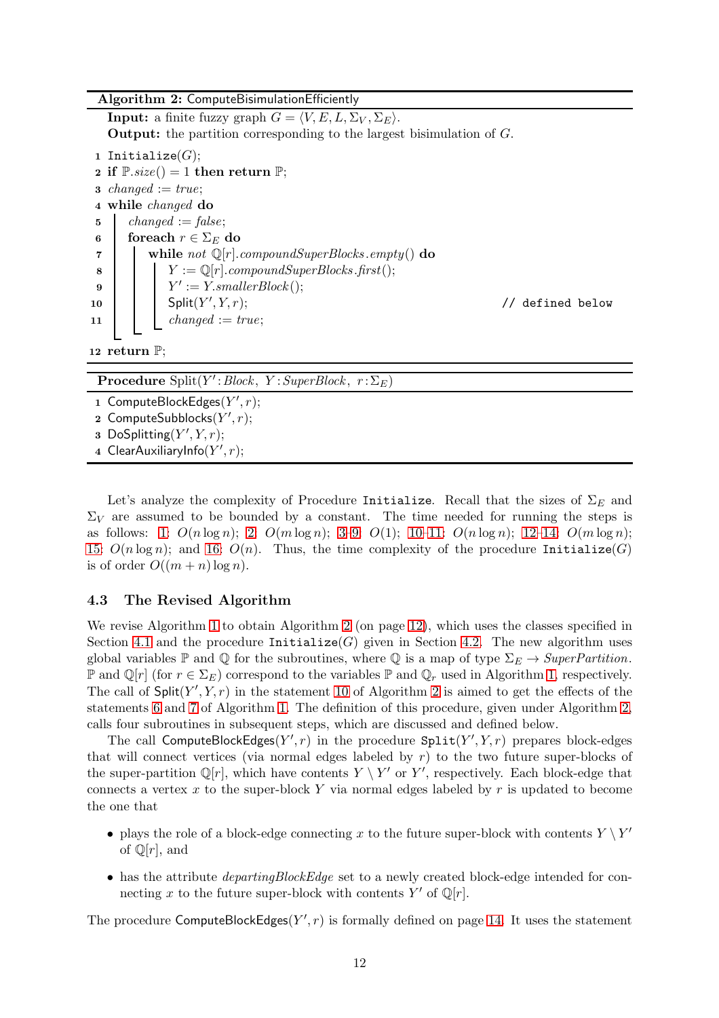#### Algorithm 2: ComputeBisimulationEfficiently

<span id="page-11-0"></span>**Input:** a finite fuzzy graph  $G = \langle V, E, L, \Sigma_V, \Sigma_E \rangle$ . Output: the partition corresponding to the largest bisimulation of G. 1 Initialize $(G)$ ; 2 if  $\mathbb{P}.size() = 1$  then return  $\mathbb{P};$ 3 changed  $:= true;$ 4 while changed do 5  $changed := false;$ 6 foreach  $r \in \Sigma_E$  do

<span id="page-11-2"></span>7 | | while not  $\mathbb{Q}[r]$ .compoundSuperBlocks.empty() do 8 | |  $Y := \mathbb{Q}[r]$ .compoundSuperBlocks.first(); 9  $\vert \vert Y' := Y . \text{smallerBlock}();$ 10 |  $Split(Y'$ 

// defined below

### 12 return  $\mathbb{P}$ ;

**Procedure**  $Split(Y':Block, Y:SuperBlock, r: \Sigma_E)$ 

1 ComputeBlockEdges $(Y', r)$ ;

<span id="page-11-1"></span>11 | changed :=  $true;$ 

2  $\mathsf{ComputeSubblocks}(Y', r);$ 

3 DoSplitting( $Y', Y, r$ );

4 ClearAuxiliaryInfo $(Y', r);$ 

Let's analyze the complexity of Procedure Initialize. Recall that the sizes of  $\Sigma_E$  and  $\Sigma_V$  are assumed to be bounded by a constant. The time needed for running the steps is as follows: [1:](#page-10-1)  $O(n \log n)$ ; [2:](#page-10-2)  $O(m \log n)$ ; [3](#page-10-3)[–9:](#page-10-4)  $O(1)$ ; [10–](#page-10-5)[11:](#page-10-6)  $O(n \log n)$ ; [12](#page-10-7)[–14:](#page-10-8)  $O(m \log n)$ ; [15:](#page-10-9)  $O(n \log n)$ ; and [16:](#page-10-10)  $O(n)$ . Thus, the time complexity of the procedure Initialize(G) is of order  $O((m+n)\log n)$ .

# 4.3 The Revised Algorithm

We revise Algorithm [1](#page-5-0) to obtain Algorithm [2](#page-11-0) (on page [12\)](#page-11-0), which uses the classes specified in Section [4.1](#page-7-0) and the procedure Initialize(G) given in Section [4.2.](#page-10-11) The new algorithm uses global variables  $\mathbb P$  and  $\mathbb Q$  for the subroutines, where  $\mathbb Q$  is a map of type  $\Sigma_E \to SuperPartition$ .  $\mathbb P$  and  $\mathbb Q[r]$  (for  $r \in \Sigma_E$ ) correspond to the variables  $\mathbb P$  and  $\mathbb Q_r$  used in Algorithm [1,](#page-5-0) respectively. The call of  $\textsf{Split}(Y',Y,r)$  in the statement [10](#page-11-1) of Algorithm [2](#page-11-0) is aimed to get the effects of the statements [6](#page-5-1) and [7](#page-5-2) of Algorithm [1.](#page-5-0) The definition of this procedure, given under Algorithm [2,](#page-11-0) calls four subroutines in subsequent steps, which are discussed and defined below.

The call ComputeBlockEdges(Y', r) in the procedure  $\texttt{Split}(Y',Y,r)$  prepares block-edges that will connect vertices (via normal edges labeled by  $r$ ) to the two future super-blocks of the super-partition  $\mathbb{Q}[r]$ , which have contents  $Y \setminus Y'$  or  $Y'$ , respectively. Each block-edge that connects a vertex x to the super-block Y via normal edges labeled by  $r$  is updated to become the one that

- plays the role of a block-edge connecting x to the future super-block with contents  $Y \setminus Y'$ of  $\mathbb{Q}[r]$ , and
- has the attribute *departingBlockEdge* set to a newly created block-edge intended for connecting x to the future super-block with contents Y' of  $\mathbb{Q}[r]$ .

The procedure ComputeBlockEdges $(Y', r)$  is formally defined on page [14.](#page-13-0) It uses the statement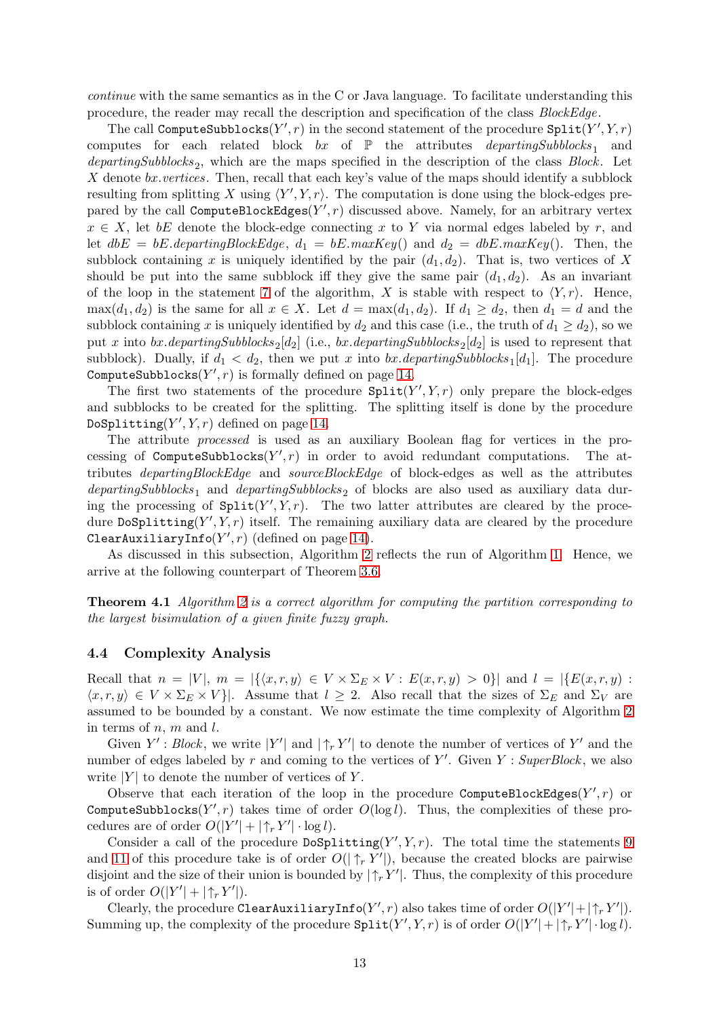continue with the same semantics as in the C or Java language. To facilitate understanding this procedure, the reader may recall the description and specification of the class BlockEdge.

The call ComputeSubblocks $(Y', r)$  in the second statement of the procedure  $\texttt{Split}(Y', Y, r)$ computes for each related block  $bx$  of  $\mathbb P$  the attributes *departingSubblocks*<sub>1</sub> and  $departingSubblocks<sub>2</sub>$ , which are the maps specified in the description of the class  $Block$ . Let X denote  $bx.vertices.$  Then, recall that each key's value of the maps should identify a subblock resulting from splitting X using  $\langle Y', Y, r \rangle$ . The computation is done using the block-edges prepared by the call ComputeBlockEdges $(Y', r)$  discussed above. Namely, for an arbitrary vertex  $x \in X$ , let bE denote the block-edge connecting x to Y via normal edges labeled by r, and let  $dbE = bE.departingBlockEdge, d_1 = bE.maxKey()$  and  $d_2 = dbE.maxKey()$ . Then, the subblock containing x is uniquely identified by the pair  $(d_1, d_2)$ . That is, two vertices of X should be put into the same subblock iff they give the same pair  $(d_1, d_2)$ . As an invariant of the loop in the statement [7](#page-11-2) of the algorithm, X is stable with respect to  $\langle Y, r \rangle$ . Hence,  $\max(d_1, d_2)$  is the same for all  $x \in X$ . Let  $d = \max(d_1, d_2)$ . If  $d_1 \geq d_2$ , then  $d_1 = d$  and the subblock containing x is uniquely identified by  $d_2$  and this case (i.e., the truth of  $d_1 \geq d_2$ ), so we put x into bx.departingSubblocks<sub>2</sub>[d<sub>2</sub>] (i.e., bx.departingSubblocks<sub>2</sub>[d<sub>2</sub>] is used to represent that subblock). Dually, if  $d_1 < d_2$ , then we put x into  $bx$ . *departingSubblocks*<sub>1</sub>[ $d_1$ ]. The procedure ComputeSubblocks $(Y', r)$  is formally defined on page [14.](#page-13-1)

The first two statements of the procedure  $\texttt{Split}(Y',Y,r)$  only prepare the block-edges and subblocks to be created for the splitting. The splitting itself is done by the procedure DoSplitting $(Y', Y, r)$  defined on page [14.](#page-13-2)

The attribute processed is used as an auxiliary Boolean flag for vertices in the processing of ComputeSubblocks $(Y', r)$  in order to avoid redundant computations. The attributes departingBlockEdge and sourceBlockEdge of block-edges as well as the attributes departingSubblocks<sub>1</sub> and departingSubblocks<sub>2</sub> of blocks are also used as auxiliary data during the processing of  $\text{Split}(Y', Y, r)$ . The two latter attributes are cleared by the procedure DoSplitting( $Y', Y, r$ ) itself. The remaining auxiliary data are cleared by the procedure ClearAuxiliaryInfo $(Y', r)$  (defined on page [14\)](#page-13-3).

As discussed in this subsection, Algorithm [2](#page-11-0) reflects the run of Algorithm [1.](#page-5-0) Hence, we arrive at the following counterpart of Theorem [3.6.](#page-6-2)

Theorem 4.1 Algorithm [2](#page-11-0) is a correct algorithm for computing the partition corresponding to the largest bisimulation of a given finite fuzzy graph.

#### <span id="page-12-0"></span>4.4 Complexity Analysis

Recall that  $n = |V|$ ,  $m = |\{(x, r, y) \in V \times \Sigma_E \times V : E(x, r, y) > 0\}|$  and  $l = |\{E(x, r, y) : E(x, y) = 0\}|$  $\langle x, r, y \rangle \in V \times \Sigma_E \times V$ . Assume that  $l > 2$ . Also recall that the sizes of  $\Sigma_E$  and  $\Sigma_V$  are assumed to be bounded by a constant. We now estimate the time complexity of Algorithm [2](#page-11-0) in terms of  $n, m$  and  $l$ .

Given  $Y'$ : Block, we write  $|Y'|$  and  $|\uparrow_r Y'|$  to denote the number of vertices of  $Y'$  and the number of edges labeled by r and coming to the vertices of  $Y'$ . Given  $Y : SuperBlock$ , we also write  $|Y|$  to denote the number of vertices of Y.

Observe that each iteration of the loop in the procedure ComputeBlockEdges( $Y', r$ ) or ComputeSubblocks $(Y', r)$  takes time of order  $O(\log l)$ . Thus, the complexities of these procedures are of order  $O(|Y'| + |\uparrow_r Y'| \cdot \log l)$ .

Consider a call of the procedure  $\text{DoSplitting}(Y', Y, r)$ . The total time the statements [9](#page-13-4) and [11](#page-13-5) of this procedure take is of order  $O(|\uparrow_r Y'|)$ , because the created blocks are pairwise disjoint and the size of their union is bounded by  $|\uparrow_r Y'|$ . Thus, the complexity of this procedure is of order  $O(|Y'| + |\uparrow_r Y'|)$ .

Clearly, the procedure ClearAuxiliaryInfo $(Y', r)$  also takes time of order  $O(|Y'| + |\uparrow_r Y'|)$ . Summing up, the complexity of the procedure  $\texttt{Split}(Y',Y,r)$  is of order  $O(|Y'| + |\uparrow_r Y'| \cdot \log l)$ .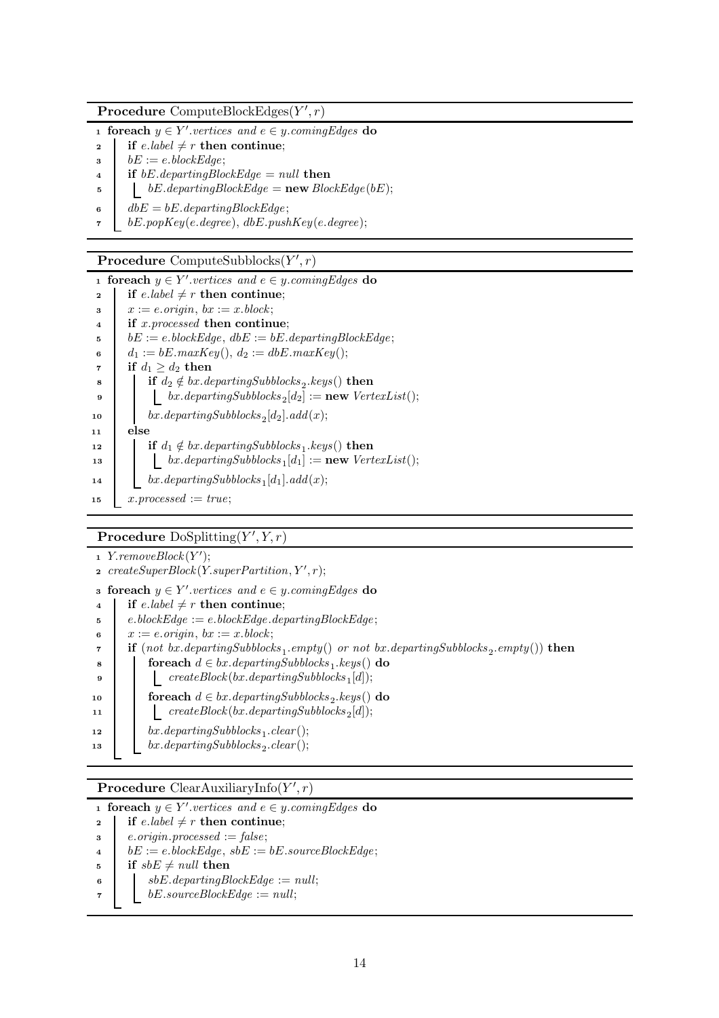Procedure ComputeBlockEdges $(Y', r)$ 

<span id="page-13-0"></span>1 foreach  $y \in Y'$  vertices and  $e \in y$  coming Edges do

- 2 if e.label  $\neq r$  then continue;
- $\bullet$  bE := e.blockEdge;
- 4 if  $bE.departingBlockEdge = null$  then
- $\mathfrak{b}$  | bE.departingBlockEdge = new BlockEdge(bE);
- 6  $\bigcirc$  dbE = bE.departingBlockEdge;
- $\tau \mid bE.popKey(e.degree), dbE.pushKey(e.degree);$

<span id="page-13-1"></span>Procedure ComputeSubblocks $(Y', r)$ 

1 foreach  $y \in Y'$  vertices and  $e \in y$  coming Edges do 2 if e.label  $\neq r$  then continue;  $\Box$   $x := e \cdot origin, \ bx := x \cdot block;$ <sup>4</sup> if x.processed then continue;  $\bullet$  bE := e.blockEdge, dbE := bE.departingBlockEdge; 6  $d_1 := bE.maxKey(), d_2 := dbE.maxKey();$ 7 if  $d_1 \geq d_2$  then 8 if  $d_2 \notin bx$ .departingSubblocks<sub>2</sub>.keys() then 9  $\vert$  bx.departingSubblocks<sub>2</sub>[d<sub>2</sub>] := **new** VertexList(); 10 bx.departingSubblocks<sub>2</sub>[d<sub>2</sub>].add(x);  $11$  else 12 **if**  $d_1 \notin bx$ .departingSubblocks<sub>1</sub>.keys() then 13 bx.departingSubblocks<sub>1</sub>[d<sub>1</sub>] := **new** VertexList(); 14 bx.departingSubblocks<sub>1</sub>[d<sub>1</sub>].add(x); 15  $x.processed := true;$ 

<span id="page-13-2"></span>Procedure  $\text{DoSplitting}(Y', Y, r)$ 

- 1 Y.removeBlock $(Y')$ ;
- $\mathbf{A}$  createSuperBlock(Y.superPartition, Y', r);
- s foreach  $y \in Y'$  vertices and  $e \in y$  coming Edges do
- 4 if e.label  $\neq r$  then continue;
- <sup>5</sup> e.blockEdge := e.blockEdge.departingBlockEdge ; 6  $x := e.\text{origin}, bx := x.\text{block};$
- <span id="page-13-5"></span><span id="page-13-4"></span> $\tau$  if (not bx.departingSubblocks<sub>1</sub>.empty() or not bx.departingSubblocks<sub>2</sub>.empty()) then 8 for each  $d \in bx$ . departing Subblocks  $_1$ . keys() do <sup>9</sup> createBlock (bx.departingSubblocks <sup>1</sup> [d]); 10 **for each**  $d \in bx$ . departingSubblocks<sub>2</sub>.keys() do 11  $\qquad \qquad | \qquad \text{createBlock}(bx \text{.} departingSubblocks_2[d]);$ 12  $bx \ldotp departingSubblocks_1\ldotp clear();$ 13 bx.departingSubblocks<sub>2</sub>.clear();

# **Procedure** ClearAuxiliaryInfo $(Y', r)$

<span id="page-13-3"></span>1 foreach  $y \in Y'$  vertices and  $e \in y$  coming Edges do

- 2 if e.label  $\neq r$  then continue;
- $\texttt{s}$  e.origin.processed := false;
- 4  $bE := e \cdot blockEdge, sbE := bE \cdot sourceBlockEdge;$
- $\mathfrak{s}$  if  $sbE \neq null$  then
- 6  $s$  sbE.departingBlockEdge := null;
- $\tau$  bE.sourceBlockEdge := null;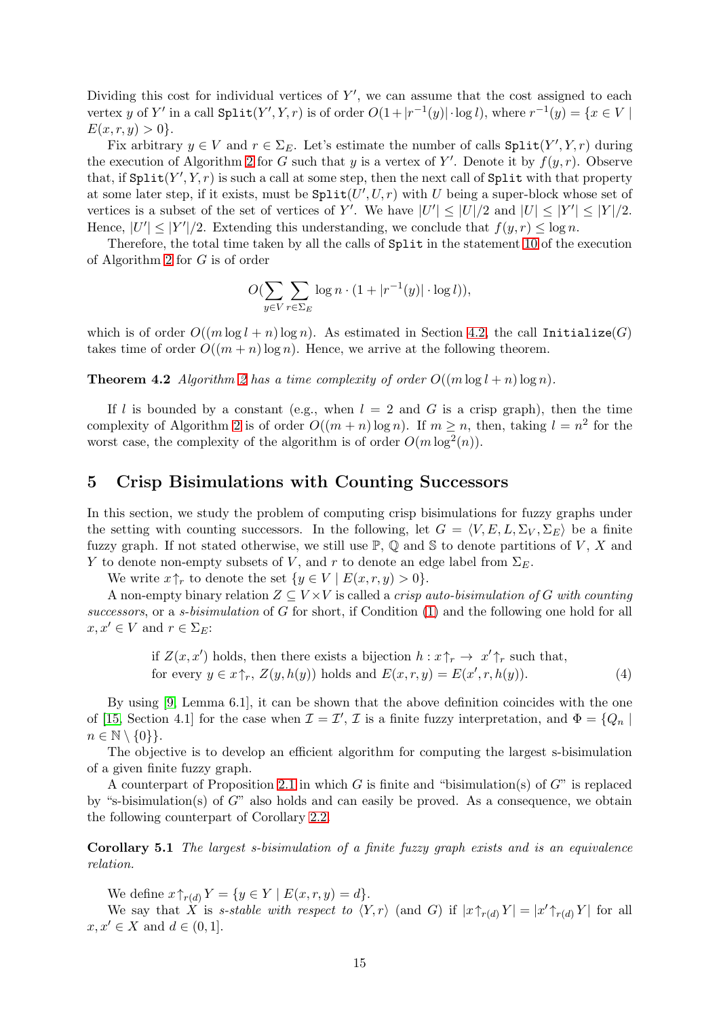Dividing this cost for individual vertices of  $Y'$ , we can assume that the cost assigned to each vertex y of Y' in a call  $\text{Split}(Y', Y, r)$  is of order  $O(1+|r^{-1}(y)| \cdot \log l)$ , where  $r^{-1}(y) = \{x \in V \mid$  $E(x, r, y) > 0$ .

Fix arbitrary  $y \in V$  and  $r \in \Sigma_E$ . Let's estimate the number of calls  $\text{Split}(Y', Y, r)$  during the execution of Algorithm [2](#page-11-0) for G such that y is a vertex of Y'. Denote it by  $f(y, r)$ . Observe that, if  $\texttt{Split}(Y',Y,r)$  is such a call at some step, then the next call of  $\texttt{Split}$  with that property at some later step, if it exists, must be  $\texttt{Split}(U', U, r)$  with U being a super-block whose set of vertices is a subset of the set of vertices of Y'. We have  $|U'| \leq |U|/2$  and  $|U| \leq |Y'| \leq |Y|/2$ . Hence,  $|U'| \leq |Y'|/2$ . Extending this understanding, we conclude that  $f(y, r) \leq \log n$ .

Therefore, the total time taken by all the calls of Split in the statement [10](#page-11-1) of the execution of Algorithm [2](#page-11-0) for G is of order

$$
O(\sum_{y \in V} \sum_{r \in \Sigma_E} \log n \cdot (1 + |r^{-1}(y)| \cdot \log l)),
$$

which is of order  $O((m \log l + n) \log n)$ . As estimated in Section [4.2,](#page-10-11) the call Initialize(G) takes time of order  $O((m + n) \log n)$ . Hence, we arrive at the following theorem.

**Theorem 4.2** Algorithm [2](#page-11-0) has a time complexity of order  $O((m \log l + n) \log n)$ .

If l is bounded by a constant (e.g., when  $l = 2$  and G is a crisp graph), then the time complexity of Algorithm [2](#page-11-0) is of order  $O((m+n)\log n)$ . If  $m \geq n$ , then, taking  $l = n^2$  for the worst case, the complexity of the algorithm is of order  $O(m \log^2(n))$ .

### <span id="page-14-0"></span>5 Crisp Bisimulations with Counting Successors

In this section, we study the problem of computing crisp bisimulations for fuzzy graphs under the setting with counting successors. In the following, let  $G = \langle V, E, L, \Sigma_V, \Sigma_E \rangle$  be a finite fuzzy graph. If not stated otherwise, we still use  $\mathbb{P}, \mathbb{Q}$  and S to denote partitions of V, X and Y to denote non-empty subsets of V, and r to denote an edge label from  $\Sigma_E$ .

We write  $x\uparrow_r$  to denote the set  $\{y \in V \mid E(x, r, y) > 0\}.$ 

A non-empty binary relation  $Z \subseteq V \times V$  is called a *crisp auto-bisimulation of G with counting* successors, or a s-bisimulation of G for short, if Condition [\(1\)](#page-3-1) and the following one hold for all  $x, x' \in V$  and  $r \in \Sigma_E$ :

<span id="page-14-1"></span>if 
$$
Z(x, x')
$$
 holds, then there exists a bijection  $h: x \uparrow_r \to x' \uparrow_r$  such that,  
for every  $y \in x \uparrow_r$ ,  $Z(y, h(y))$  holds and  $E(x, r, y) = E(x', r, h(y))$ . (4)

By using [\[9,](#page-18-11) Lemma 6.1], it can be shown that the above definition coincides with the one of [\[15,](#page-19-4) Section 4.1] for the case when  $\mathcal{I} = \mathcal{I}'$ ,  $\mathcal{I}$  is a finite fuzzy interpretation, and  $\Phi = \{Q_n |$  $n \in \mathbb{N} \setminus \{0\}\}.$ 

The objective is to develop an efficient algorithm for computing the largest s-bisimulation of a given finite fuzzy graph.

A counterpart of Proposition [2.1](#page-3-4) in which G is finite and "bisimulation(s) of  $G$ " is replaced by "s-bisimulation(s) of  $G$ " also holds and can easily be proved. As a consequence, we obtain the following counterpart of Corollary [2.2.](#page-3-3)

Corollary 5.1 The largest s-bisimulation of a finite fuzzy graph exists and is an equivalence relation.

We define  $x \uparrow_{r(d)} Y = \{ y \in Y \mid E(x, r, y) = d \}.$ 

We say that X is s-stable with respect to  $\langle Y, r \rangle$  (and G) if  $|x \uparrow_{r(d)} Y | = |x' \uparrow_{r(d)} Y |$  for all  $x, x' \in X$  and  $d \in (0, 1]$ .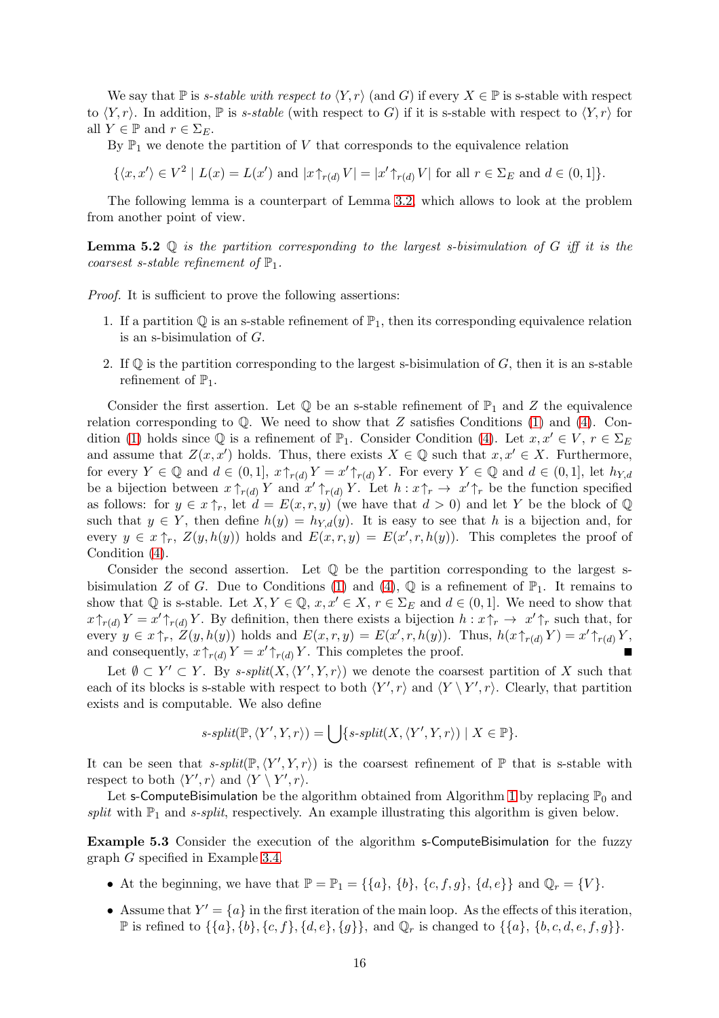We say that P is s-stable with respect to  $\langle Y, r \rangle$  (and G) if every  $X \in \mathbb{P}$  is s-stable with respect to  $\langle Y, r \rangle$ . In addition,  $\mathbb P$  is s-stable (with respect to G) if it is s-stable with respect to  $\langle Y, r \rangle$  for all  $Y \in \mathbb{P}$  and  $r \in \Sigma_F$ .

By  $\mathbb{P}_1$  we denote the partition of V that corresponds to the equivalence relation

$$
\{\langle x, x'\rangle \in V^2 \mid L(x) = L(x') \text{ and } |x \uparrow_{r(d)} V| = |x' \uparrow_{r(d)} V| \text{ for all } r \in \Sigma_E \text{ and } d \in (0, 1]\}.
$$

The following lemma is a counterpart of Lemma [3.2,](#page-4-1) which allows to look at the problem from another point of view.

**Lemma 5.2**  $\mathbb Q$  is the partition corresponding to the largest s-bisimulation of G iff it is the coarsest s-stable refinement of  $\mathbb{P}_1$ .

Proof. It is sufficient to prove the following assertions:

- 1. If a partition  $\mathbb Q$  is an s-stable refinement of  $\mathbb P_1$ , then its corresponding equivalence relation is an s-bisimulation of G.
- 2. If  $\mathbb Q$  is the partition corresponding to the largest s-bisimulation of  $G$ , then it is an s-stable refinement of  $\mathbb{P}_1$ .

Consider the first assertion. Let  $\mathbb Q$  be an s-stable refinement of  $\mathbb P_1$  and Z the equivalence relation corresponding to  $\mathbb{Q}$ . We need to show that Z satisfies Conditions [\(1\)](#page-3-1) and [\(4\)](#page-14-1). Con-dition [\(1\)](#page-3-1) holds since  $\mathbb Q$  is a refinement of  $\mathbb P_1$ . Consider Condition [\(4\)](#page-14-1). Let  $x, x' \in V, r \in \Sigma_E$ and assume that  $Z(x, x')$  holds. Thus, there exists  $X \in \mathbb{Q}$  such that  $x, x' \in X$ . Furthermore, for every  $Y \in \mathbb{Q}$  and  $d \in (0,1], x \uparrow_{r(d)} Y = x' \uparrow_{r(d)} Y$ . For every  $Y \in \mathbb{Q}$  and  $d \in (0,1],$  let  $h_{Y,d}$ be a bijection between  $x \uparrow_{r(d)} Y$  and  $x' \uparrow_{r(d)} Y$ . Let  $h: x \uparrow_r \to x' \uparrow_r$  be the function specified as follows: for  $y \in x \uparrow_r$ , let  $d = E(x, r, y)$  (we have that  $d > 0$ ) and let Y be the block of Q such that  $y \in Y$ , then define  $h(y) = h_{Y,d}(y)$ . It is easy to see that h is a bijection and, for every  $y \in x \uparrow_r$ ,  $Z(y, h(y))$  holds and  $E(x, r, y) = E(x', r, h(y))$ . This completes the proof of Condition [\(4\)](#page-14-1).

Consider the second assertion. Let  $\mathbb Q$  be the partition corresponding to the largest s-bisimulation Z of G. Due to Conditions [\(1\)](#page-3-1) and [\(4\)](#page-14-1),  $\mathbb{Q}$  is a refinement of  $\mathbb{P}_1$ . It remains to show that Q is s-stable. Let  $X, Y \in \mathbb{Q}$ ,  $x, x' \in X$ ,  $r \in \Sigma_E$  and  $d \in (0, 1]$ . We need to show that  $x\uparrow_{r(d)} Y = x'\uparrow_{r(d)} Y$ . By definition, then there exists a bijection  $h: x\uparrow_r \to x'\uparrow_r$  such that, for every  $y \in x \uparrow_r$ ,  $Z(y, h(y))$  holds and  $E(x, r, y) = E(x', r, h(y))$ . Thus,  $h(x \uparrow_{r(d)} Y) = x' \uparrow_{r(d)} Y$ , and consequently,  $x \uparrow_{r(d)} Y = x' \uparrow_{r(d)} Y$ . This completes the proof.

Let  $\emptyset \subset Y' \subset Y$ . By s-split $(X, \langle Y', Y, r \rangle)$  we denote the coarsest partition of X such that each of its blocks is s-stable with respect to both  $\langle Y', r \rangle$  and  $\langle Y \setminus Y', r \rangle$ . Clearly, that partition exists and is computable. We also define

$$
s\text{-}\mathit{split}(\mathbb{P}, \langle Y', Y, r \rangle) = \bigcup \{ s\text{-}\mathit{split}(X, \langle Y', Y, r \rangle) \mid X \in \mathbb{P} \}.
$$

It can be seen that  $s$ -split( $\mathbb{P}, \langle Y', Y, r \rangle$ ) is the coarsest refinement of  $\mathbb{P}$  that is s-stable with respect to both  $\langle Y', r \rangle$  and  $\langle Y \setminus Y', r \rangle$ .

Let s-ComputeBisimulation be the algorithm obtained from Algorithm [1](#page-5-0) by replacing  $\mathbb{P}_0$  and split with  $\mathbb{P}_1$  and s-split, respectively. An example illustrating this algorithm is given below.

Example 5.3 Consider the execution of the algorithm s-ComputeBisimulation for the fuzzy graph G specified in Example [3.4.](#page-5-3)

- At the beginning, we have that  $\mathbb{P} = \mathbb{P}_1 = \{\{a\}, \{b\}, \{c, f, g\}, \{d, e\}\}\$ and  $\mathbb{Q}_r = \{V\}.$
- Assume that  $Y' = \{a\}$  in the first iteration of the main loop. As the effects of this iteration,  $\mathbb P$  is refined to  $\{\{a\}, \{b\}, \{c, f\}, \{d, e\}, \{g\}\}\$ , and  $\mathbb Q_r$  is changed to  $\{\{a\}, \{b, c, d, e, f, g\}\}\$ .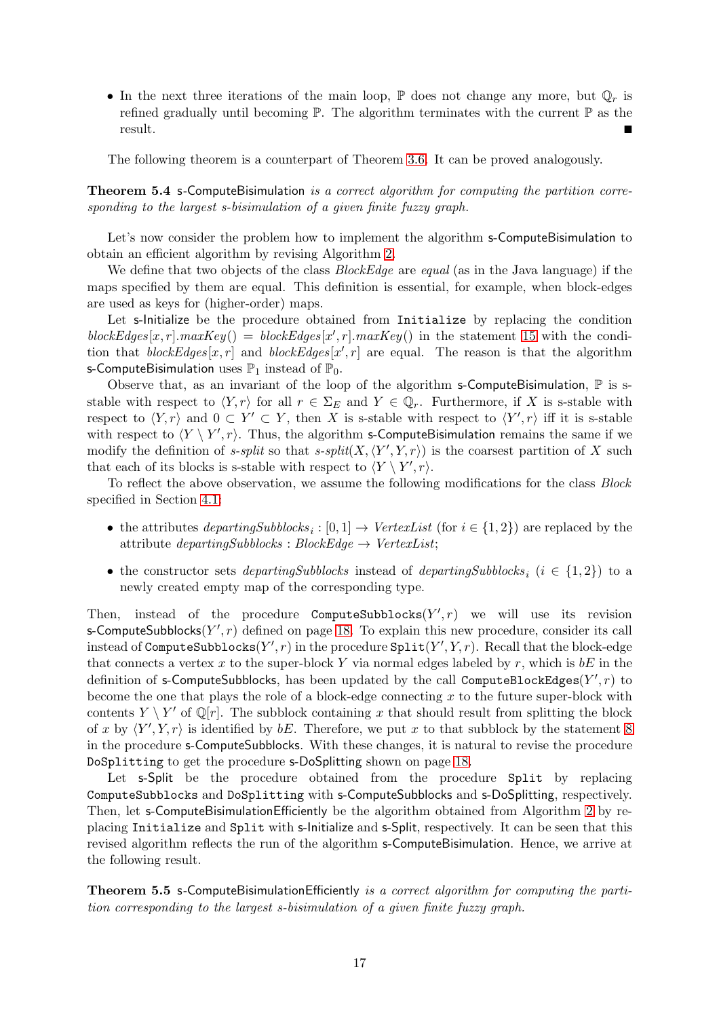• In the next three iterations of the main loop,  $\mathbb P$  does not change any more, but  $\mathbb Q_r$  is refined gradually until becoming  $\mathbb P$ . The algorithm terminates with the current  $\mathbb P$  as the result.

The following theorem is a counterpart of Theorem [3.6.](#page-6-2) It can be proved analogously.

### Theorem 5.4 s-ComputeBisimulation is a correct algorithm for computing the partition corresponding to the largest s-bisimulation of a given finite fuzzy graph.

Let's now consider the problem how to implement the algorithm s-ComputeBisimulation to obtain an efficient algorithm by revising Algorithm [2.](#page-11-0)

We define that two objects of the class *BlockEdge* are equal (as in the Java language) if the maps specified by them are equal. This definition is essential, for example, when block-edges are used as keys for (higher-order) maps.

Let s-Initialize be the procedure obtained from Initialize by replacing the condition blockEdges[x, r].maxKey() = blockEdges[x', r].maxKey() in the statement [15](#page-10-9) with the condition that  $blockEdges[x,r]$  and  $blockEdges[x',r]$  are equal. The reason is that the algorithm s-ComputeBisimulation uses  $\mathbb{P}_1$  instead of  $\mathbb{P}_0$ .

Observe that, as an invariant of the loop of the algorithm s-ComputeBisimulation,  $\mathbb P$  is sstable with respect to  $\langle Y, r \rangle$  for all  $r \in \Sigma_E$  and  $Y \in \mathbb{Q}_r$ . Furthermore, if X is s-stable with respect to  $\langle Y, r \rangle$  and  $0 \subset Y' \subset Y$ , then X is s-stable with respect to  $\langle Y', r \rangle$  iff it is s-stable with respect to  $\langle Y \setminus Y', r \rangle$ . Thus, the algorithm s-ComputeBisimulation remains the same if we modify the definition of *s*-split so that *s*-split $(X, \langle Y', Y, r \rangle)$  is the coarsest partition of X such that each of its blocks is s-stable with respect to  $\langle Y \setminus Y', r \rangle$ .

To reflect the above observation, we assume the following modifications for the class Block specified in Section [4.1:](#page-7-0)

- the attributes  $\text{departingSubblocks}_i : [0,1] \rightarrow \text{VertexList}$  (for  $i \in \{1,2\}$ ) are replaced by the attribute  $departingSubblocks : BlockEdge \rightarrow VertexList;$
- the constructor sets *departingSubblocks* instead of *departingSubblocks*<sub>i</sub> ( $i \in \{1,2\}$ ) to a newly created empty map of the corresponding type.

Then, instead of the procedure ComputeSubblocks $(Y', r)$  we will use its revision s-ComputeSubblocks $(Y', r)$  defined on page [18.](#page-17-1) To explain this new procedure, consider its call instead of ComputeSubblocks $(Y', r)$  in the procedure  $\texttt{Split}(Y', Y, r)$ . Recall that the block-edge that connects a vertex x to the super-block Y via normal edges labeled by r, which is  $bE$  in the definition of s-ComputeSubblocks, has been updated by the call ComputeBlockEdges $(Y', r)$  to become the one that plays the role of a block-edge connecting  $x$  to the future super-block with contents  $Y \setminus Y'$  of Q[r]. The subblock containing x that should result from splitting the block of x by  $\langle Y', Y, r \rangle$  is identified by bE. Therefore, we put x to that subblock by the statement [8](#page-17-2) in the procedure s-ComputeSubblocks. With these changes, it is natural to revise the procedure DoSplitting to get the procedure s-DoSplitting shown on page [18.](#page-17-3)

Let s-Split be the procedure obtained from the procedure Split by replacing ComputeSubblocks and DoSplitting with s-ComputeSubblocks and s-DoSplitting, respectively. Then, let s-ComputeBisimulationEfficiently be the algorithm obtained from Algorithm [2](#page-11-0) by replacing Initialize and Split with s-Initialize and s-Split, respectively. It can be seen that this revised algorithm reflects the run of the algorithm s-ComputeBisimulation. Hence, we arrive at the following result.

Theorem 5.5 s-ComputeBisimulationEfficiently is a correct algorithm for computing the partition corresponding to the largest s-bisimulation of a given finite fuzzy graph.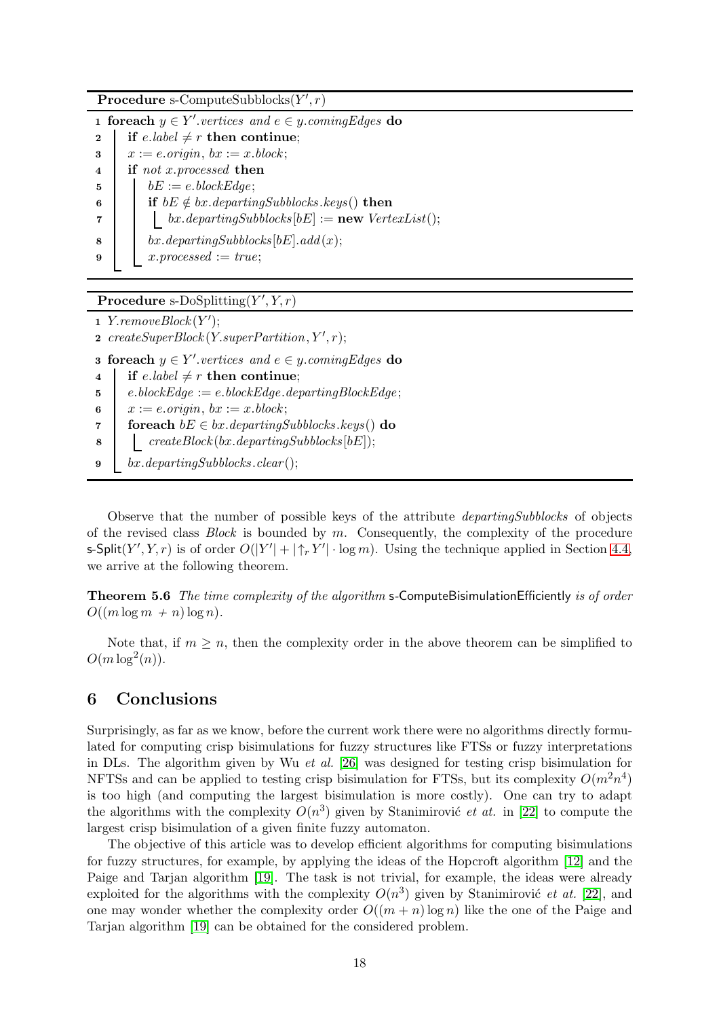<span id="page-17-1"></span>Procedure s-ComputeSubblocks $(Y', r)$ 

1 foreach  $y \in Y'$  vertices and  $e \in y$  coming Edges do 2 if e.label  $\neq r$  then continue;  $\mathbf{3} \quad x := e \text{.} origin, \ bx := x \text{.} block;$ 4 **if** not x.processed then  $\mathbf{5}$  | bE := e.blockEdge; 6 if  $bE \notin bx$ . departingSubblocks. keys() then 7 | | bx.departingSubblocks  $[bE] := new \; VertexList();$ 8 bx.departingSubblocks[bE].add(x); 9  $x.processed := true;$ 

# <span id="page-17-3"></span><span id="page-17-2"></span>Procedure s-DoSplitting $(Y', Y, r)$

```
1 Y.removeBlock(Y');
```

```
2 createSuperBlock(Y.supportPartition, Y', r);
```

```
3 foreach y \in Y' vertices and e \in y coming Edges do
```

```
4 if e.label \neq r then continue;
```

```
5 e.blockEdge := e.blockEdge.departingBlockEdge;
```

```
6 x := e.\text{origin}, bx := x.\text{block};
```
- 7 foreach  $bE \in bx$ . departingSubblocks. keys() do
- $\begin{array}{c|c} \hline \textbf{8} & \textbf{[} & \textbf{createBlock}(bx.departingSubblocks[bE]); \end{array}$
- 9 bx.departingSubblocks.clear();

Observe that the number of possible keys of the attribute departingSubblocks of objects of the revised class  $Block$  is bounded by  $m$ . Consequently, the complexity of the procedure s-Split(Y', Y, r) is of order  $O(|Y'| + |\uparrow_r Y'| \cdot \log m)$ . Using the technique applied in Section [4.4,](#page-12-0) we arrive at the following theorem.

Theorem 5.6 The time complexity of the algorithm s-ComputeBisimulationEfficiently is of order  $O((m \log m + n) \log n)$ .

Note that, if  $m \geq n$ , then the complexity order in the above theorem can be simplified to  $O(m \log^2(n)).$ 

# <span id="page-17-0"></span>6 Conclusions

Surprisingly, as far as we know, before the current work there were no algorithms directly formulated for computing crisp bisimulations for fuzzy structures like FTSs or fuzzy interpretations in DLs. The algorithm given by Wu *et al.* [26] was designed for testing crisp bisimulation for NFTSs and can be applied to testing crisp bisimulation for FTSs, but its complexity  $O(m^2n^4)$ is too high (and computing the largest bisimulation is more costly). One can try to adapt the algorithms with the complexity  $O(n^3)$  given by Stanimirovic *et at.* in [\[22\]](#page-19-7) to compute the largest crisp bisimulation of a given finite fuzzy automaton.

The objective of this article was to develop efficient algorithms for computing bisimulations for fuzzy structures, for example, by applying the ideas of the Hopcroft algorithm [\[12\]](#page-18-10) and the Paige and Tarjan algorithm [\[19\]](#page-19-8). The task is not trivial, for example, the ideas were already exploited for the algorithms with the complexity  $O(n^3)$  given by Stanimirovic *et at.* [\[22\]](#page-19-7), and one may wonder whether the complexity order  $O((m + n) \log n)$  like the one of the Paige and Tarjan algorithm [\[19\]](#page-19-8) can be obtained for the considered problem.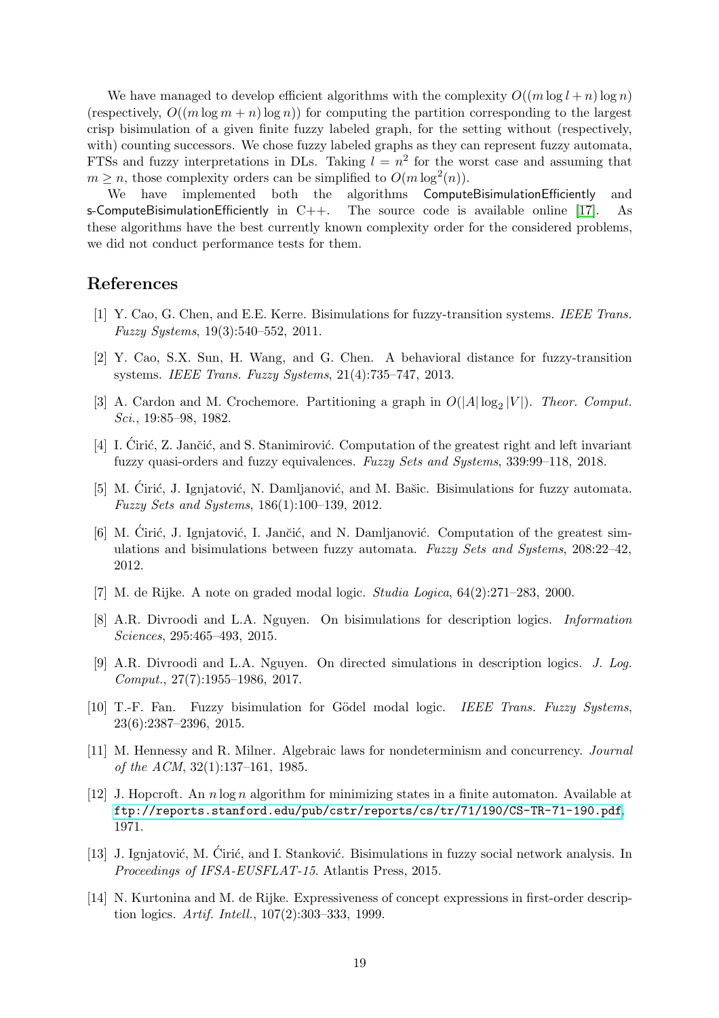We have managed to develop efficient algorithms with the complexity  $O((m \log l + n) \log n)$ (respectively,  $O((m \log m + n) \log n)$ ) for computing the partition corresponding to the largest crisp bisimulation of a given finite fuzzy labeled graph, for the setting without (respectively, with) counting successors. We chose fuzzy labeled graphs as they can represent fuzzy automata, FTSs and fuzzy interpretations in DLs. Taking  $l = n^2$  for the worst case and assuming that  $m \geq n$ , those complexity orders can be simplified to  $O(m \log^2(n))$ .

We have implemented both the algorithms ComputeBisimulationEfficiently and s-ComputeBisimulationEfficiently in  $C++$ . The source code is available online [\[17\]](#page-19-9). As these algorithms have the best currently known complexity order for the considered problems, we did not conduct performance tests for them.

# <span id="page-18-3"></span>References

- <span id="page-18-4"></span>[1] Y. Cao, G. Chen, and E.E. Kerre. Bisimulations for fuzzy-transition systems. IEEE Trans. Fuzzy Systems, 19(3):540–552, 2011.
- [2] Y. Cao, S.X. Sun, H. Wang, and G. Chen. A behavioral distance for fuzzy-transition systems. IEEE Trans. Fuzzy Systems, 21(4):735–747, 2013.
- <span id="page-18-9"></span>[3] A. Cardon and M. Crochemore. Partitioning a graph in  $O(|A| \log_2 |V|)$ . Theor. Comput. Sci., 19:85–98, 1982.
- <span id="page-18-5"></span>[4] I. Ciric, Z. Jančić, and S. Stanimirović. Computation of the greatest right and left invariant fuzzy quasi-orders and fuzzy equivalences. Fuzzy Sets and Systems, 339:99–118, 2018.
- <span id="page-18-8"></span>[5] M. Cirić, J. Ignjatović, N. Damljanović, and M. Bašic. Bis imulations for fuzzy automata. Fuzzy Sets and Systems, 186(1):100–139, 2012.
- [6] M. Cirić, J. Ignjatović, I. Jančić, and N. Damljanović. Computation of the greatest simulations and bisimulations between fuzzy automata. Fuzzy Sets and Systems, 208:22–42, 2012.
- <span id="page-18-1"></span>[7] M. de Rijke. A note on graded modal logic. Studia Logica, 64(2):271–283, 2000.
- [8] A.R. Divroodi and L.A. Nguyen. On bisimulations for description logics. Information Sciences, 295:465–493, 2015.
- <span id="page-18-11"></span><span id="page-18-7"></span>[9] A.R. Divroodi and L.A. Nguyen. On directed simulations in description logics. J. Log. Comput., 27(7):1955–1986, 2017.
- [10] T.-F. Fan. Fuzzy bisimulation for Gödel modal logic. IEEE Trans. Fuzzy Systems, 23(6):2387–2396, 2015.
- <span id="page-18-0"></span>[11] M. Hennessy and R. Milner. Algebraic laws for nondeterminism and concurrency. Journal of the ACM, 32(1):137–161, 1985.
- <span id="page-18-10"></span>[12] J. Hopcroft. An  $n \log n$  algorithm for minimizing states in a finite automaton. Available at <ftp://reports.stanford.edu/pub/cstr/reports/cs/tr/71/190/CS-TR-71-190.pdf>, 1971.
- <span id="page-18-6"></span>[13] J. Ignjatović, M. Ćirić, and I. Stanković. Bisimulations in fuzzy social network analysis. In Proceedings of IFSA-EUSFLAT-15. Atlantis Press, 2015.
- <span id="page-18-2"></span>[14] N. Kurtonina and M. de Rijke. Expressiveness of concept expressions in first-order description logics. Artif. Intell., 107(2):303–333, 1999.